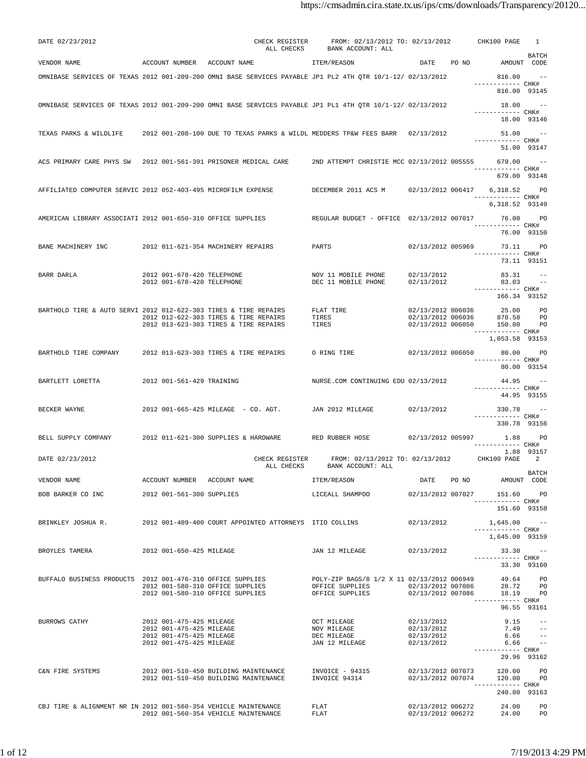| DATE 02/23/2012                                                  |                                                          | CHECK REGISTER<br>ALL CHECKS                                                                                                       | FROM: 02/13/2012 TO: 02/13/2012 CHK100 PAGE<br>BANK ACCOUNT: ALL |                                        |                                                     | -1                           |
|------------------------------------------------------------------|----------------------------------------------------------|------------------------------------------------------------------------------------------------------------------------------------|------------------------------------------------------------------|----------------------------------------|-----------------------------------------------------|------------------------------|
| VENDOR NAME                                                      |                                                          | ACCOUNT NUMBER ACCOUNT NAME TEM/REASON                                                                                             |                                                                  |                                        | DATE PO NO AMOUNT CODE                              | BATCH                        |
|                                                                  |                                                          | OMNIBASE SERVICES OF TEXAS 2012 001-209-200 OMNI BASE SERVICES PAYABLE JP1 PL2 4TH OTR 10/1-12/ 02/13/2012                         |                                                                  |                                        | 816.00                                              |                              |
|                                                                  |                                                          |                                                                                                                                    |                                                                  |                                        | ------------ CHK#<br>816.00 93145                   |                              |
|                                                                  |                                                          | OMNIBASE SERVICES OF TEXAS 2012 001-209-200 OMNI BASE SERVICES PAYABLE JP1 PL1 4TH QTR 10/1-12/ 02/13/2012                         |                                                                  |                                        | 18.00<br>------------ CHK#                          | $\sim$ $-$                   |
|                                                                  |                                                          |                                                                                                                                    |                                                                  |                                        |                                                     | 18.00 93146                  |
|                                                                  |                                                          | TEXAS PARKS & WILDLIFE 3012 001-208-100 DUE TO TEXAS PARKS & WILDL MEDDERS TP&W FEES BARR 02/13/2012                               |                                                                  |                                        | $51.00 - -$<br>------------ CHK#                    |                              |
|                                                                  |                                                          |                                                                                                                                    |                                                                  |                                        | 51.00 93147                                         |                              |
|                                                                  |                                                          |                                                                                                                                    | 2ND ATTEMPT CHRISTIE MCC 02/13/2012 005555 679.00                |                                        | ------------ CHK#                                   | $\sim$ $-$                   |
|                                                                  |                                                          |                                                                                                                                    |                                                                  |                                        | 679.00 93148                                        |                              |
| AFFILIATED COMPUTER SERVIC 2012 052-403-495 MICROFILM EXPENSE    |                                                          |                                                                                                                                    | DECEMBER 2011 ACS M 02/13/2012 006417 6,318.52 PO                |                                        | ------------ CHK#                                   |                              |
|                                                                  |                                                          |                                                                                                                                    |                                                                  |                                        | 6,318.52 93149                                      |                              |
| AMERICAN LIBRARY ASSOCIATI 2012 001-650-310 OFFICE SUPPLIES      |                                                          |                                                                                                                                    | REGULAR BUDGET - OFFICE 02/13/2012 007017                        |                                        | ------------ CHK#                                   | 76.00 PO                     |
|                                                                  |                                                          |                                                                                                                                    |                                                                  |                                        |                                                     | 76.00 93150                  |
| BANE MACHINERY INC 2012 011-621-354 MACHINERY REPAIRS            |                                                          |                                                                                                                                    | PARTS                                                            |                                        | 02/13/2012 005969 73.11 PO<br>------------ CHK#     |                              |
|                                                                  |                                                          |                                                                                                                                    |                                                                  |                                        | 73.11 93151                                         |                              |
| BARR DARLA                                                       | 2012 001-678-420 TELEPHONE<br>2012 001-678-420 TELEPHONE |                                                                                                                                    | NOV 11 MOBILE PHONE<br>DEC 11 MOBILE PHONE                       | 02/13/2012<br>02/13/2012               | 83.31<br>83.03                                      | $\sim 100$                   |
|                                                                  |                                                          |                                                                                                                                    |                                                                  |                                        | ------------ CHK#<br>166.34 93152                   |                              |
| BARTHOLD TIRE & AUTO SERVI 2012 012-622-303 TIRES & TIRE REPAIRS |                                                          |                                                                                                                                    | FLAT TIRE<br>TIRES                                               |                                        | 02/13/2012 006036 25.00<br>02/13/2012 006036 878.58 | <b>PO</b>                    |
|                                                                  |                                                          | 2012 012-622-303 TIRES & TIRE REPAIRS<br>2012 013-623-303 TIRES & TIRE REPAIRS                                                     | TIRES                                                            | 02/13/2012 006050                      | 150.00<br>------------ CHK#                         | <b>PO</b><br><b>PO</b>       |
|                                                                  |                                                          |                                                                                                                                    |                                                                  |                                        | 1,053.58 93153                                      |                              |
| BARTHOLD TIRE COMPANY                                            |                                                          | 2012 013-623-303 TIRES & TIRE REPAIRS                                                                                              | O RING TIRE                                                      | 02/13/2012 006050                      | 80.00 PO<br>------------ CHK#                       |                              |
|                                                                  |                                                          |                                                                                                                                    |                                                                  |                                        |                                                     | 80.00 93154                  |
| BARTLETT LORETTA                                                 | 2012 001-561-429 TRAINING                                |                                                                                                                                    | NURSE.COM CONTINUING EDU 02/13/2012                              |                                        | 44.95<br>------------ CHK#                          |                              |
|                                                                  |                                                          |                                                                                                                                    |                                                                  |                                        | 44.95 93155                                         |                              |
| BECKER WAYNE                                                     |                                                          | 2012 001-665-425 MILEAGE - CO. AGT. JAN 2012 MILEAGE                                                                               |                                                                  | 02/13/2012                             | $330.78 - -$<br>------------ CHK#                   |                              |
|                                                                  |                                                          |                                                                                                                                    |                                                                  |                                        | 330.78 93156                                        |                              |
| BELL SUPPLY COMPANY                                              |                                                          | 2012 011-621-300 SUPPLIES & HARDWARE RED RUBBER HOSE 02/13/2012 005997 1.88 PO                                                     |                                                                  |                                        | ------------ CHK#                                   |                              |
| DATE 02/23/2012                                                  |                                                          | CHECK REGISTER                                                                                                                     | FROM: 02/13/2012 TO: 02/13/2012 CHK100 PAGE 2                    |                                        |                                                     | 1.88 93157                   |
|                                                                  |                                                          | ALL CHECKS                                                                                                                         | BANK ACCOUNT: ALL                                                |                                        |                                                     | <b>BATCH</b>                 |
| VENDOR NAME                                                      | ACCOUNT NUMBER ACCOUNT NAME                              |                                                                                                                                    | ITEM/REASON                                                      | DATE PO NO                             | AMOUNT CODE                                         |                              |
| BOB BARKER CO INC 2012 001-561-300 SUPPLIES                      |                                                          |                                                                                                                                    |                                                                  |                                        | ----------- CHK#                                    | <b>PO</b>                    |
|                                                                  |                                                          |                                                                                                                                    |                                                                  |                                        | 151.60 93158                                        |                              |
|                                                                  |                                                          | BRINKLEY JOSHUA R. 2012 001-409-400 COURT APPOINTED ATTORNEYS ITIO COLLINS                                                         |                                                                  | 02/13/2012                             | $1,645.00 - -$<br>----------- CHK#                  |                              |
| BROYLES TAMERA                                                   |                                                          |                                                                                                                                    |                                                                  | 02/13/2012                             | 1,645.00 93159                                      |                              |
|                                                                  | 2012 001-650-425 MILEAGE                                 |                                                                                                                                    | JAN 12 MILEAGE                                                   |                                        | 33.30<br>------------ CHK#                          | 33.30 93160                  |
|                                                                  |                                                          |                                                                                                                                    | POLY-ZIP BAGS/8 1/2 X 11 02/13/2012 006949                       |                                        |                                                     | 49.64 PO                     |
|                                                                  |                                                          | BUFFALO BUSINESS PRODUCTS 2012 001-476-310 OFFICE SUPPLIES<br>2012 001-580-310 OFFICE SUPPLIES<br>2012 001-580-310 OFFICE SUPPLIES | OFFICE SUPPLIES<br>OFFICE SUPPLIES                               | 02/13/2012 007086<br>02/13/2012 007086 |                                                     | 28.72 PO<br>18.19 PO         |
|                                                                  |                                                          |                                                                                                                                    |                                                                  |                                        | ----------- CHK#                                    | 96.55 93161                  |
| BURROWS CATHY                                                    | 2012 001-475-425 MILEAGE                                 |                                                                                                                                    | <b>OCT MILEAGE</b>                                               | 02/13/2012                             | 9.15                                                | $\sim$ $-$                   |
|                                                                  | 2012 001-475-425 MILEAGE<br>2012 001-475-425 MILEAGE     |                                                                                                                                    | NOV MILEAGE<br>DEC MILEAGE                                       | 02/13/2012<br>02/13/2012               | 7.49<br>6.66                                        | $- -$<br>$ -$                |
|                                                                  | 2012 001-475-425 MILEAGE                                 |                                                                                                                                    | JAN 12 MILEAGE                                                   | 02/13/2012                             | 6.66<br>----------- CHK#                            | $\sim$ $-$                   |
|                                                                  |                                                          |                                                                                                                                    |                                                                  |                                        |                                                     | 29.96 93162                  |
| C&N FIRE SYSTEMS                                                 |                                                          | 2012 001-510-450 BUILDING MAINTENANCE<br>2012 001-510-450 BUILDING MAINTENANCE                                                     | INVOICE - 94315<br>INVOICE 94314                                 | 02/13/2012 007073                      | 120.00<br>$02/13/2012$ $007074$ $120.00$            | PO <sub>p</sub><br><b>PO</b> |
|                                                                  |                                                          |                                                                                                                                    |                                                                  |                                        | ----------- CHK#<br>240.00 93163                    |                              |
| CBJ TIRE & ALIGNMENT NR IN 2012 001-560-354 VEHICLE MAINTENANCE  |                                                          |                                                                                                                                    | FLAT                                                             | 02/13/2012 006272                      | 24.00                                               | <b>PO</b>                    |
|                                                                  |                                                          | 2012 001-560-354 VEHICLE MAINTENANCE                                                                                               | FLAT                                                             |                                        | 02/13/2012 006272 24.00 PO                          |                              |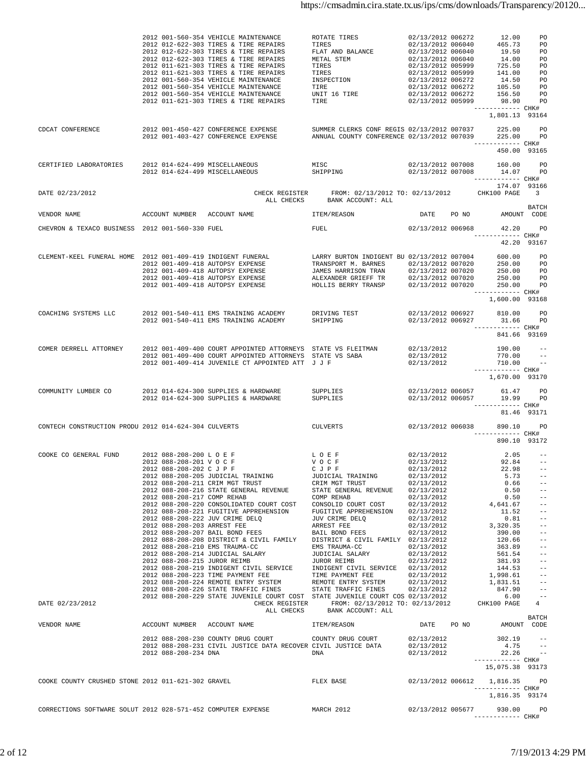|                                                              |                                                                                                                        | 2012 001-560-354 VEHICLE MAINTENANCE<br>2012 012-622-303 TIRES & TIRE REPAIRS<br>2012 012-622-303 TIRES & TIRE REPAIRS<br>2012 012-622-303 TIRES & TIRE REPAIRS<br>2012 011-621-303 TIRES & TIRE REPAIRS<br>2012 011-621-303 TIRES & TIRE REPAIRS<br>2012 001-560-354 VEHICLE MAINTENANCE<br>2012 001-560-354 VEHICLE MAINTENANCE<br>2012 001-560-354 VEHICLE MAINTENANCE<br>2012 011-621-303 TIRES & TIRE REPAIRS                                                                                                                                                                                                                                                                                                            | ROTATE TIRES<br>TIRES<br>TREXT AND BALANCE<br>METAL STEM $02/13/2012 006040$<br>METAL STEM $02/13/2012 006040$<br>TRES $02/13/2012 005999$<br>TRES $02/13/2012 005999$<br>TRES $02/13/2012 005999$<br>ISPECTION $02/13/2012 006272$<br>ISPECTION $02/13/2012 006272$<br>                                                                                                                                                                                | 02/13/2012 006272<br>02/13/2012 006040                                                                                                                                                                                                                   | 12.00<br>465.73<br>------------ CHK#                                                                                                                                                                | PO<br>PO                                                                                                                                                                                                                                                              |
|--------------------------------------------------------------|------------------------------------------------------------------------------------------------------------------------|-------------------------------------------------------------------------------------------------------------------------------------------------------------------------------------------------------------------------------------------------------------------------------------------------------------------------------------------------------------------------------------------------------------------------------------------------------------------------------------------------------------------------------------------------------------------------------------------------------------------------------------------------------------------------------------------------------------------------------|---------------------------------------------------------------------------------------------------------------------------------------------------------------------------------------------------------------------------------------------------------------------------------------------------------------------------------------------------------------------------------------------------------------------------------------------------------|----------------------------------------------------------------------------------------------------------------------------------------------------------------------------------------------------------------------------------------------------------|-----------------------------------------------------------------------------------------------------------------------------------------------------------------------------------------------------|-----------------------------------------------------------------------------------------------------------------------------------------------------------------------------------------------------------------------------------------------------------------------|
| CDCAT CONFERENCE                                             |                                                                                                                        | 2012 001-450-427 CONFERENCE EXPENSE SUMMER CLERKS CONF REGIS 02/13/2012 007037 225.00<br>2012 001-403-427 CONFERENCE EXPENSE                                                                                                                                                                                                                                                                                                                                                                                                                                                                                                                                                                                                  | ANNUAL COUNTY CONFERENCE 02/13/2012 007039 225.00 PO                                                                                                                                                                                                                                                                                                                                                                                                    |                                                                                                                                                                                                                                                          | 1,801.13 93164<br>------------ CHK#<br>450.00 93165                                                                                                                                                 | PO <sub>p</sub>                                                                                                                                                                                                                                                       |
| CERTIFIED LABORATORIES                                       |                                                                                                                        | 2012 014-624-499 MISCELLANEOUS MISC<br>2012 014-624-499 MISCELLANEOUS                                                                                                                                                                                                                                                                                                                                                                                                                                                                                                                                                                                                                                                         | SHIPPING                                                                                                                                                                                                                                                                                                                                                                                                                                                | 02/13/2012 007008                                                                                                                                                                                                                                        | 02/13/2012 007008 160.00 PO<br>14.07 PO<br>------------ CHK#<br>174.07 93166                                                                                                                        |                                                                                                                                                                                                                                                                       |
| DATE 02/23/2012                                              |                                                                                                                        | ALL CHECKS                                                                                                                                                                                                                                                                                                                                                                                                                                                                                                                                                                                                                                                                                                                    | CHECK REGISTER FROM: 02/13/2012 TO: 02/13/2012<br>BANK ACCOUNT: ALL                                                                                                                                                                                                                                                                                                                                                                                     |                                                                                                                                                                                                                                                          | CHK100 PAGE 3                                                                                                                                                                                       | BATCH                                                                                                                                                                                                                                                                 |
| VENDOR NAME                                                  |                                                                                                                        | ACCOUNT NUMBER ACCOUNT NAME TEM/REASON                                                                                                                                                                                                                                                                                                                                                                                                                                                                                                                                                                                                                                                                                        |                                                                                                                                                                                                                                                                                                                                                                                                                                                         |                                                                                                                                                                                                                                                          | DATE PO NO AMOUNT CODE                                                                                                                                                                              |                                                                                                                                                                                                                                                                       |
| CHEVRON & TEXACO BUSINESS 2012 001-560-330 FUEL              |                                                                                                                        |                                                                                                                                                                                                                                                                                                                                                                                                                                                                                                                                                                                                                                                                                                                               | FUEL                                                                                                                                                                                                                                                                                                                                                                                                                                                    |                                                                                                                                                                                                                                                          | 02/13/2012 006968 42.20<br>------------ CHK#<br>42.20 93167                                                                                                                                         | <b>PO</b>                                                                                                                                                                                                                                                             |
|                                                              |                                                                                                                        | CLEMENT-KEEL FUNERAL HOME 2012 001-409-419 INDIGENT FUNERAL LARRY BURTON INDIGENT BU 02/13/2012 007004 600.00 PO                                                                                                                                                                                                                                                                                                                                                                                                                                                                                                                                                                                                              |                                                                                                                                                                                                                                                                                                                                                                                                                                                         |                                                                                                                                                                                                                                                          | 02/13/2012 007020           250.00         PO<br>02/13/2012 007020           250.00        PO<br>250.00 PO<br>------------ CHK#<br>1,600.00 93168                                                   | <b>PO</b>                                                                                                                                                                                                                                                             |
| COACHING SYSTEMS LLC                                         |                                                                                                                        | 2012 001-540-411 EMS TRAINING ACADEMY DRIVING TEST<br>2012 001-540-411 EMS TRAINING ACADEMY                                                                                                                                                                                                                                                                                                                                                                                                                                                                                                                                                                                                                                   | SHIPPING                                                                                                                                                                                                                                                                                                                                                                                                                                                | 02/13/2012 006927<br>02/13/2012 006927                                                                                                                                                                                                                   | 810.00<br>31.66 PO<br>------------ CHK#<br>841.66 93169                                                                                                                                             | <b>PO</b>                                                                                                                                                                                                                                                             |
| COMER DERRELL ATTORNEY                                       |                                                                                                                        | 2012 001-409-400 COURT APPOINTED ATTORNEYS STATE VS FLEITMAN 02/13/2012<br>2012 001-409-400 COURT APPOINTED ATTORNEYS STATE VS SABA<br>2012 001-409-414 JUVENILE CT APPOINTED ATT J J F                                                                                                                                                                                                                                                                                                                                                                                                                                                                                                                                       |                                                                                                                                                                                                                                                                                                                                                                                                                                                         | 02/13/2012<br>02/13/2012                                                                                                                                                                                                                                 | $190.00 -$<br>770.00<br>710.00<br>------------ CHK#<br>1,670.00 93170                                                                                                                               | $\sim$ $  -$<br>$\sim$ $-$                                                                                                                                                                                                                                            |
| COMMUNITY LUMBER CO                                          |                                                                                                                        | 2012 014-624-300 SUPPLIES & HARDWARE<br>2012 014-624-300 SUPPLIES & HARDWARE                                                                                                                                                                                                                                                                                                                                                                                                                                                                                                                                                                                                                                                  | SUPPLIES<br>SUPPLIES                                                                                                                                                                                                                                                                                                                                                                                                                                    | 02/13/2012 006057                                                                                                                                                                                                                                        | 61.47<br>02/13/2012 006057 19.99 PO<br>------------ CHK#                                                                                                                                            | <b>PO</b>                                                                                                                                                                                                                                                             |
| CONTECH CONSTRUCTION PRODU 2012 014-624-304 CULVERTS         |                                                                                                                        |                                                                                                                                                                                                                                                                                                                                                                                                                                                                                                                                                                                                                                                                                                                               | CULVERTS 02/13/2012 006038 890.10                                                                                                                                                                                                                                                                                                                                                                                                                       |                                                                                                                                                                                                                                                          | 81.46 93171<br>------------ CHK#<br>890.10 93172                                                                                                                                                    | <b>PO</b>                                                                                                                                                                                                                                                             |
| COOKE CO GENERAL FUND<br>DATE 02/23/2012                     | 2012 088-208-202 C J P F<br>2012 088-208-217 COMP REHAB<br>2012 088-208-203 ARREST FEE<br>2012 088-208-215 JUROR REIMB | 2012 088-208-200 L O E F L O E F L O E F V O C F V O C F<br>2012 088-208-205 JUDICIAL TRAINING<br>2012 088-208-211 CRIM MGT TRUST<br>2012 088-208-216 STATE GENERAL REVENUE<br>2012 088-208-220 CONSOLIDATED COURT COST<br>2012 088-208-221 FUGITIVE APPREHENSION<br>2012 088-208-222 JUV CRIME DELQ<br>2012 088-208-207 BAIL BOND FEES<br>2012 088-208-208 DISTRICT & CIVIL FAMILY<br>2012 088-208-210 EMS TRAUMA-CC<br>2012 088-208-214 JUDICIAL SALARY<br>2012 088-208-219 INDIGENT CIVIL SERVICE<br>2012 088-208-223 TIME PAYMENT FEE<br>2012 088-208-224 REMOTE ENTRY SYSTEM<br>2012 088-208-226 STATE TRAFFIC FINES<br>2012 088-208-229 STATE JUVENILE COURT COST STATE JUVENILE COURT COS 02/13/2012<br>CHECK REGISTER | CJPF<br>JUDICIAL TRAINING<br>CRIM MGT TRUST<br>STATE GENERAL REVENUE<br>COMP REHAB<br>CONSOLID COURT COST<br>FUGITIVE APPREHENSION<br>JUV CRIME DELQ<br>ARREST FEE<br>BAIL BOND FEES<br>DISTRICT & CIVIL FAMILY 02/13/2012<br>EMS TRAUMA-CC<br>JUDICIAL SALARY<br>JUROR REIMB<br>INDIGENT CIVIL SERVICE 02/13/2012<br>TIME PAYMENT FEE<br>REMOTE ENTRY SYSTEM<br>STATE TRAFFIC FINES<br>FROM: 02/13/2012 TO: 02/13/2012<br>ALL CHECKS BANK ACCOUNT: ALL | 02/13/2012<br>02/13/2012<br>02/13/2012<br>02/13/2012<br>02/13/2012<br>02/13/2012<br>02/13/2012<br>02/13/2012<br>02/13/2012<br>02/13/2012<br>02/13/2012<br>02/13/2012<br>02/13/2012<br>02/13/2012<br>02/13/2012<br>02/13/2012<br>02/13/2012<br>02/13/2012 | 22.98<br>5.73<br>0.66<br>0.50<br>0.50<br>4,641.67<br>11.52<br>0.81<br>3,320.35<br>390.00<br>120.66<br>363.89<br>561.54<br>381.93<br>144.53<br>1,998.61<br>1,831.51<br>847.90<br>6.00<br>CHK100 PAGE | $2.05 - -$<br>$92.84 - -$<br>$ -$<br>$ -$<br>$- \, -$<br>$- \, -$<br>$- \, -$<br>$- \, -$<br>$- \, -$<br>$- \, -$<br>$\pm$ $\pm$<br>$ -$<br>$- \, -$<br>$--$<br>$- \, -$<br>$\sim$ $-$<br>$\sim$ $-$<br>$ -$<br>$\sim$ $-$<br>$\sim$ $-$<br>$\sim$ $ -$<br>4<br>BATCH |
| VENDOR NAME                                                  |                                                                                                                        | ACCOUNT NUMBER ACCOUNT NAME<br>2012 088-208-230 COUNTY DRUG COURT                                                                                                                                                                                                                                                                                                                                                                                                                                                                                                                                                                                                                                                             | ITEM/REASON<br>COUNTY DRUG COURT                                                                                                                                                                                                                                                                                                                                                                                                                        | DATE PO NO<br>02/13/2012                                                                                                                                                                                                                                 | 302.19                                                                                                                                                                                              | AMOUNT CODE<br>$ -$                                                                                                                                                                                                                                                   |
|                                                              | 2012 088-208-234 DNA                                                                                                   | 2012 088-208-231 CIVIL JUSTICE DATA RECOVER CIVIL JUSTICE DATA                                                                                                                                                                                                                                                                                                                                                                                                                                                                                                                                                                                                                                                                | DNA                                                                                                                                                                                                                                                                                                                                                                                                                                                     | 02/13/2012<br>02/13/2012                                                                                                                                                                                                                                 | 4.75<br>22.26<br>------------ CHK#                                                                                                                                                                  | $ -$<br>$- -$                                                                                                                                                                                                                                                         |
| COOKE COUNTY CRUSHED STONE 2012 011-621-302 GRAVEL           |                                                                                                                        |                                                                                                                                                                                                                                                                                                                                                                                                                                                                                                                                                                                                                                                                                                                               | FLEX BASE                                                                                                                                                                                                                                                                                                                                                                                                                                               | 02/13/2012 006612                                                                                                                                                                                                                                        | 15,075.38 93173<br>1,816.35<br>----------- CHK#<br>1,816.35 93174                                                                                                                                   | PO                                                                                                                                                                                                                                                                    |
| CORRECTIONS SOFTWARE SOLUT 2012 028-571-452 COMPUTER EXPENSE |                                                                                                                        |                                                                                                                                                                                                                                                                                                                                                                                                                                                                                                                                                                                                                                                                                                                               | MARCH 2012                                                                                                                                                                                                                                                                                                                                                                                                                                              |                                                                                                                                                                                                                                                          | 02/13/2012 005677 930.00<br>------------ CHK#                                                                                                                                                       | <b>PO</b>                                                                                                                                                                                                                                                             |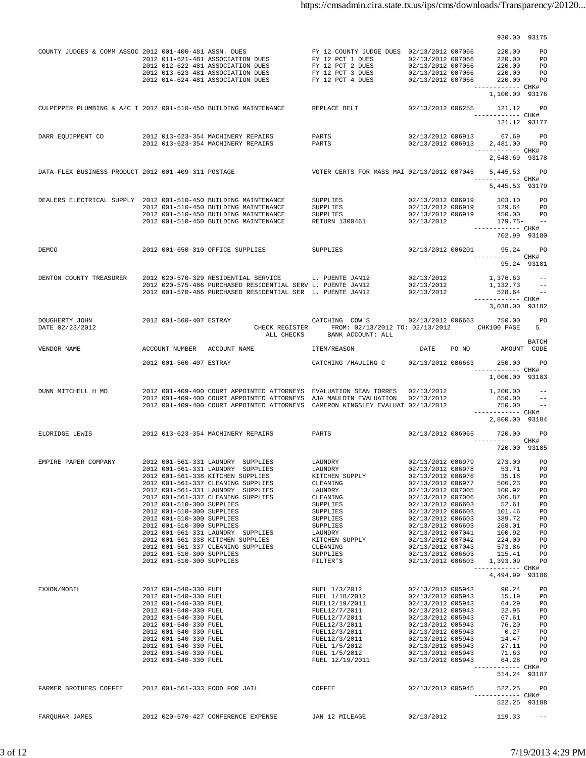|                                                                  |                                                                                                                                                                                                                                                                                 |                                                                                                                                                                                                                                                                                                                                              |                                                                                                                                                                                             |                                                                                                                                                                                                                                                                                                    | 930.00 93175                                                                                                                                                                             |                                                                                        |
|------------------------------------------------------------------|---------------------------------------------------------------------------------------------------------------------------------------------------------------------------------------------------------------------------------------------------------------------------------|----------------------------------------------------------------------------------------------------------------------------------------------------------------------------------------------------------------------------------------------------------------------------------------------------------------------------------------------|---------------------------------------------------------------------------------------------------------------------------------------------------------------------------------------------|----------------------------------------------------------------------------------------------------------------------------------------------------------------------------------------------------------------------------------------------------------------------------------------------------|------------------------------------------------------------------------------------------------------------------------------------------------------------------------------------------|----------------------------------------------------------------------------------------|
| COUNTY JUDGES & COMM ASSOC 2012 001-400-481 ASSN. DUES           |                                                                                                                                                                                                                                                                                 | 2012 011-621-481 ASSOCIATION DUES<br>2012 012-621-481 ASSOCIATION DUES<br>2012 012-622-481 ASSOCIATION DUES<br>2012 013-623-481 ASSOCIATION DUES<br>2012 014-624-481 ASSOCIATION DUES                                                                                                                                                        | FY 12 COUNTY JUDGE DUES 02/13/2012 007066<br>FY 12 PCT 1 DUES<br>FY 12 PCT 2 DUES<br>FY 12 PCT 3 DUES<br>FY 12 PCT 4 DUES                                                                   | 02/13/2012 007066<br>02/13/2012 007066<br>02/13/2012 007066<br>02/13/2012 007066                                                                                                                                                                                                                   | 220.00<br>220.00 PO<br>220.00 PO<br>220.00 PO<br>220.00 PO<br>------------ CHK#                                                                                                          | <b>PO</b>                                                                              |
|                                                                  |                                                                                                                                                                                                                                                                                 |                                                                                                                                                                                                                                                                                                                                              |                                                                                                                                                                                             |                                                                                                                                                                                                                                                                                                    | 1,100.00 93176                                                                                                                                                                           |                                                                                        |
| CULPEPPER PLUMBING & A/C I 2012 001-510-450 BUILDING MAINTENANCE |                                                                                                                                                                                                                                                                                 |                                                                                                                                                                                                                                                                                                                                              | REPLACE BELT                                                                                                                                                                                | 02/13/2012 006255                                                                                                                                                                                                                                                                                  | 121.12 PO<br>------------ CHK#<br>121.12 93177                                                                                                                                           |                                                                                        |
| DARR EQUIPMENT CO                                                |                                                                                                                                                                                                                                                                                 | 2012 013-623-354 MACHINERY REPAIRS<br>2012 013-623-354 MACHINERY REPAIRS                                                                                                                                                                                                                                                                     | PARTS<br>PARTS                                                                                                                                                                              |                                                                                                                                                                                                                                                                                                    | 02/13/2012 006913 67.69 PO<br>02/13/2012 006913 2,481.00 PO<br>------------ CHK#<br>2,548.69 93178                                                                                       |                                                                                        |
| DATA-FLEX BUSINESS PRODUCT 2012 001-409-311 POSTAGE              |                                                                                                                                                                                                                                                                                 |                                                                                                                                                                                                                                                                                                                                              | VOTER CERTS FOR MASS MAI 02/13/2012 007045                                                                                                                                                  |                                                                                                                                                                                                                                                                                                    | 5,445.53 PO<br>------------ CHK#<br>5,445.53 93179                                                                                                                                       |                                                                                        |
| DEALERS ELECTRICAL SUPPLY 2012 001-510-450 BUILDING MAINTENANCE  |                                                                                                                                                                                                                                                                                 | 2012 001-510-450 BUILDING MAINTENANCE<br>2012 001-510-450 BUILDING MAINTENANCE<br>2012 001-510-450 BUILDING MAINTENANCE                                                                                                                                                                                                                      | SUPPLIES<br>SUPPLIES<br>SUPPLIES<br><b>RETURN 1300461</b>                                                                                                                                   | 02/13/2012 006919<br>02/13/2012 006919<br>02/13/2012                                                                                                                                                                                                                                               | 02/13/2012 006919 303.10 PO<br>129.64 PO<br>450.00 PO<br>$179.75 - -$<br>------------ CHK#<br>702.99 93180                                                                               |                                                                                        |
| DEMCO                                                            |                                                                                                                                                                                                                                                                                 | 2012 001-650-310 OFFICE SUPPLIES                                                                                                                                                                                                                                                                                                             | <b>SUPPLIES</b>                                                                                                                                                                             |                                                                                                                                                                                                                                                                                                    | 02/13/2012 006201 95.24<br>------------ CHK#                                                                                                                                             | PO <sub>1</sub><br>95.24 93181                                                         |
| DENTON COUNTY TREASURER                                          |                                                                                                                                                                                                                                                                                 | 2012 020-570-329 RESIDENTIAL SERVICE L. PUENTE JAN12<br>2012 020-575-486 PURCHASED RESIDENTIAL SERV L. PUENTE JAN12<br>2012 001-570-486 PURCHASED RESIDENTIAL SER L. PUENTE JAN12                                                                                                                                                            |                                                                                                                                                                                             | 02/13/2012<br>02/13/2012<br>02/13/2012                                                                                                                                                                                                                                                             | 1,376.63<br>1,132.73 --<br>$528.64$ --<br>------------ CHK#                                                                                                                              |                                                                                        |
| DOUGHERTY JOHN<br>DATE 02/23/2012                                | 2012 001-560-407 ESTRAY                                                                                                                                                                                                                                                         |                                                                                                                                                                                                                                                                                                                                              | CATCHING COW'S 02/13/2012 006663 750.00<br>CHECK REGISTER FROM: 02/13/2012 TO: 02/13/2012 CHK100 PAGE                                                                                       |                                                                                                                                                                                                                                                                                                    | 3,038.00 93182                                                                                                                                                                           | <b>PO</b><br>5                                                                         |
| VENDOR NAME                                                      |                                                                                                                                                                                                                                                                                 | ACCOUNT NUMBER ACCOUNT NAME                                                                                                                                                                                                                                                                                                                  | ALL CHECKS BANK ACCOUNT: ALL<br>ITEM/REASON                                                                                                                                                 | DATE PO NO                                                                                                                                                                                                                                                                                         | AMOUNT CODE                                                                                                                                                                              | <b>BATCH</b>                                                                           |
|                                                                  | 2012 001-560-407 ESTRAY                                                                                                                                                                                                                                                         |                                                                                                                                                                                                                                                                                                                                              | CATCHING / HAULING C 02/13/2012 006663 250.00 PO                                                                                                                                            |                                                                                                                                                                                                                                                                                                    | ----------- CHK#<br>1,000.00 93183                                                                                                                                                       |                                                                                        |
| DUNN MITCHELL H MD                                               |                                                                                                                                                                                                                                                                                 | 2012 001-409-400 COURT APPOINTED ATTORNEYS EVALUATION SEAN TORRES 02/13/2012<br>2012 001-409-400 COURT APPOINTED ATTORNEYS AJA MAULDIN EVALUATION 02/13/2012<br>2012 001-409-400 COURT APPOINTED ATTORNEYS CAMERON KINGSLEY EVALUAT 02/13/2012                                                                                               |                                                                                                                                                                                             |                                                                                                                                                                                                                                                                                                    | 1,200.00<br>850.00<br>750.00<br>------------ CHK#                                                                                                                                        | $\sim$ $-$                                                                             |
| ELDRIDGE LEWIS 3012 013-623-354 MACHINERY REPAIRS                |                                                                                                                                                                                                                                                                                 |                                                                                                                                                                                                                                                                                                                                              | PARTS                                                                                                                                                                                       | 02/13/2012 006065                                                                                                                                                                                                                                                                                  | 2,800.00 93184<br>720.00<br>------------ CHK#<br>720.00 93185                                                                                                                            | PO.                                                                                    |
| EMPIRE PAPER COMPANY                                             | 2012 001-510-300 SUPPLIES<br>2012 001-510-300 SUPPLIES<br>2012 001-510-300 SUPPLIES<br>2012 001-510-300 SUPPLIES<br>2012 001-510-300 SUPPLIES<br>2012 001-510-300 SUPPLIES                                                                                                      | 2012 001-561-331 LAUNDRY SUPPLIES<br>2012 001-561-331 LAUNDRY SUPPLIES<br>2012 001-561-338 KITCHEN SUPPLIES<br>2012 001-561-337 CLEANING SUPPLIES<br>2012 001-561-331 LAUNDRY SUPPLIES<br>2012 001-561-337 CLEANING SUPPLIES<br>2012 001-561-331 LAUNDRY SUPPLIES<br>2012 001-561-338 KITCHEN SUPPLIES<br>2012 001-561-337 CLEANING SUPPLIES | LAUNDRY<br>LAUNDRY<br>KITCHEN SUPPLY<br>CLEANING<br>LAUNDRY<br>CLEANING<br>SUPPLIES<br>SUPPLIES<br>SUPPLIES<br>SUPPLIES<br>LAUNDRY<br>KITCHEN SUPPLY<br>CLEANING<br>SUPPLIES<br>FILTER'S    | 02/13/2012 006979<br>02/13/2012 006978<br>02/13/2012 006976<br>02/13/2012 006977<br>02/13/2012 007005<br>02/13/2012 007006<br>02/13/2012 006603<br>02/13/2012 006603<br>02/13/2012 006603<br>02/13/2012 006603<br>02/13/2012 007041<br>02/13/2012 007042<br>02/13/2012 007043<br>02/13/2012 006603 | 273.00<br>53.71<br>35.18<br>506.23<br>100.92<br>306.87<br>52.61<br>101.46<br>389.72<br>268.01<br>100.92<br>224.00<br>573.86<br>02/13/2012 006603 115.41<br>1,393.09<br>------------ CHK# | PO<br>PO<br>PO<br>PO<br>PO<br>PO<br>PO<br>PO<br>PO<br>PO<br>PO<br>PO<br>PO<br>PO<br>PO |
|                                                                  |                                                                                                                                                                                                                                                                                 |                                                                                                                                                                                                                                                                                                                                              |                                                                                                                                                                                             |                                                                                                                                                                                                                                                                                                    | 4,494.99 93186                                                                                                                                                                           |                                                                                        |
| EXXON/MOBIL                                                      | 2012 001-540-330 FUEL<br>2012 001-540-330 FUEL<br>2012 001-540-330 FUEL<br>2012 001-540-330 FUEL<br>2012 001-540-330 FUEL<br>2012 001-540-330 FUEL<br>2012 001-540-330 FUEL<br>2012 001-540-330 FUEL<br>2012 001-540-330 FUEL<br>2012 001-540-330 FUEL<br>2012 001-540-330 FUEL |                                                                                                                                                                                                                                                                                                                                              | FUEL 1/3/2012<br>FUEL 1/18/2012<br>FUEL12/19/2011<br>FUEL12/7/2011<br>FUEL12/7/2011<br>FUEL12/3/2011<br>FUEL12/3/2011<br>FUEL12/3/2011<br>FUEL 1/5/2012<br>FUEL 1/5/2012<br>FUEL 12/19/2011 | 02/13/2012 005943<br>02/13/2012 005943<br>02/13/2012 005943<br>02/13/2012 005943<br>02/13/2012 005943<br>02/13/2012 005943<br>02/13/2012 005943<br>02/13/2012 005943<br>02/13/2012 005943<br>02/13/2012 005943<br>02/13/2012 005943                                                                | 90.24<br>15.19<br>64.29<br>67.61<br>0.27<br>14.47<br>27.11<br>71.63<br>64.28<br>------------ CHK#<br>514.24 93187                                                                        | PO.<br><b>PO</b><br>PO<br>22.95 PO<br>PO<br>76.20 PO<br>PO<br>PO<br>PO<br>PO<br>PO     |
| FARMER BROTHERS COFFEE 2012 001-561-333 FOOD FOR JAIL            |                                                                                                                                                                                                                                                                                 |                                                                                                                                                                                                                                                                                                                                              | COFFEE                                                                                                                                                                                      | 02/13/2012 005945                                                                                                                                                                                                                                                                                  | 522.25<br>----------- CHK#<br>522.25 93188                                                                                                                                               | PO                                                                                     |
| FARQUHAR JAMES                                                   |                                                                                                                                                                                                                                                                                 | 2012 020-570-427 CONFERENCE EXPENSE JAN 12 MILEAGE                                                                                                                                                                                                                                                                                           |                                                                                                                                                                                             |                                                                                                                                                                                                                                                                                                    | 02/13/2012 119.33                                                                                                                                                                        | $\sim$ $-$                                                                             |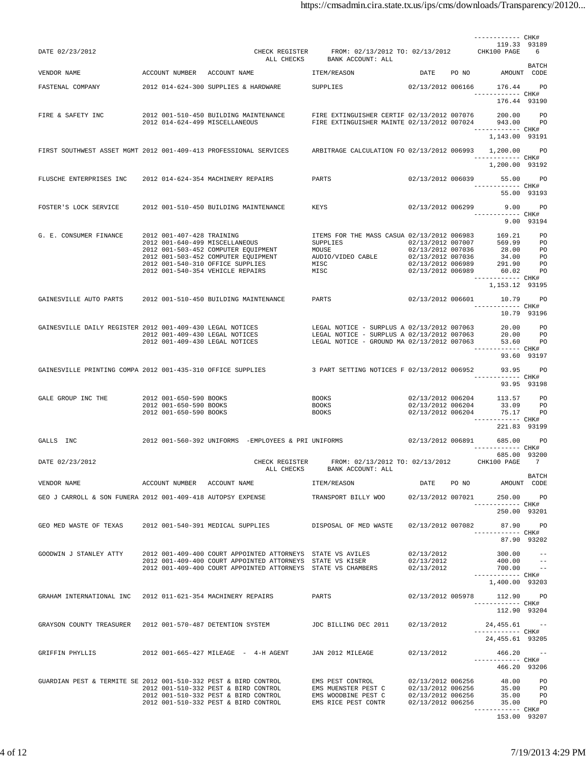|                                                                                                                                                                                                                                      |                                                  |                                                                                                                                                                                   |                                                                                              |                          | ------------ CHK#<br>119.33 93189                         |                          |
|--------------------------------------------------------------------------------------------------------------------------------------------------------------------------------------------------------------------------------------|--------------------------------------------------|-----------------------------------------------------------------------------------------------------------------------------------------------------------------------------------|----------------------------------------------------------------------------------------------|--------------------------|-----------------------------------------------------------|--------------------------|
| DATE 02/23/2012                                                                                                                                                                                                                      |                                                  |                                                                                                                                                                                   | CHECK REGISTER FROM: 02/13/2012 TO: 02/13/2012 CHK100 PAGE 6<br>ALL CHECKS BANK ACCOUNT: ALL |                          |                                                           |                          |
| VENDOR NAME                                                                                                                                                                                                                          |                                                  | ACCOUNT NUMBER ACCOUNT NAME                                                                                                                                                       | ITEM/REASON                                                                                  |                          | DATE PO NO AMOUNT CODE                                    | BATCH                    |
|                                                                                                                                                                                                                                      |                                                  | FASTENAL COMPANY 2012 014-624-300 SUPPLIES & HARDWARE SUPPLIES                                                                                                                    |                                                                                              |                          | 02/13/2012 006166 176.44 PO                               |                          |
|                                                                                                                                                                                                                                      |                                                  |                                                                                                                                                                                   |                                                                                              |                          | ------------ CHK#<br>176.44 93190                         |                          |
| FIRE & SAFETY INC                                                                                                                                                                                                                    |                                                  | 2012 001-510-450 BUILDING MAINTENANCE FIRE EXTINGUISHER CERTIF 02/13/2012 007076 200.00 PO<br>2012 014-624-499 MISCELLANEOUS FIRE EXTINGUISHER MAINTE 02/13/2012 007024 943.00 PO |                                                                                              |                          | 200.00                                                    |                          |
|                                                                                                                                                                                                                                      |                                                  |                                                                                                                                                                                   |                                                                                              |                          | ------------ CHK#<br>1,143.00 93191                       |                          |
|                                                                                                                                                                                                                                      |                                                  | FIRST SOUTHWEST ASSET MGMT 2012 001-409-413 PROFESSIONAL SERVICES ARBITRAGE CALCULATION FO 02/13/2012 006993 1,200.00 PO                                                          |                                                                                              |                          | ------------ CHK#                                         |                          |
|                                                                                                                                                                                                                                      |                                                  |                                                                                                                                                                                   |                                                                                              |                          | 1,200.00 93192                                            |                          |
| FLUSCHE ENTERPRISES INC 2012 014-624-354 MACHINERY REPAIRS                                                                                                                                                                           |                                                  |                                                                                                                                                                                   | PARTS                                                                                        |                          | 02/13/2012 006039 55.00 PO<br>------------ CHK#           | 55.00 93193              |
| FOSTER'S LOCK SERVICE 2012 001-510-450 BUILDING MAINTENANCE KEYS                                                                                                                                                                     |                                                  |                                                                                                                                                                                   |                                                                                              | 02/13/2012 006299        | 9.00 PO                                                   |                          |
|                                                                                                                                                                                                                                      |                                                  |                                                                                                                                                                                   |                                                                                              |                          | 9.00 93194                                                |                          |
| G. E. CONSUMER FINANCE                                                                                                                                                                                                               | 2012 001-407-428 TRAINING                        |                                                                                                                                                                                   |                                                                                              |                          |                                                           |                          |
|                                                                                                                                                                                                                                      |                                                  | 2012 001-640-499 MISCELLANEOUS                                                                                                                                                    |                                                                                              |                          |                                                           |                          |
|                                                                                                                                                                                                                                      |                                                  | 2012 001-503-452 COMPUTER EQUIPMENT<br>2012 001-503-452 COMPUTER EQUIPMENT                                                                                                        |                                                                                              |                          |                                                           |                          |
|                                                                                                                                                                                                                                      | 2012 001-540-310 OFFICE SUPPLIES                 |                                                                                                                                                                                   | MISC                                                                                         | 02/13/2012 006989        | 291.90 PO                                                 |                          |
|                                                                                                                                                                                                                                      | 2012 001-540-354 VEHICLE REPAIRS                 |                                                                                                                                                                                   | MISC                                                                                         |                          | 02/13/2012 006989 60.02 PO<br>------------ CHK#           |                          |
|                                                                                                                                                                                                                                      |                                                  |                                                                                                                                                                                   |                                                                                              |                          | 1,153.12 93195                                            |                          |
|                                                                                                                                                                                                                                      |                                                  | GAINESVILLE AUTO PARTS 2012 001-510-450 BUILDING MAINTENANCE PARTS                                                                                                                |                                                                                              | 02/13/2012 006601        | 10.79 PO<br>------------ CHK#                             |                          |
|                                                                                                                                                                                                                                      |                                                  |                                                                                                                                                                                   |                                                                                              |                          | 10.79 93196                                               |                          |
|                                                                                                                                                                                                                                      |                                                  |                                                                                                                                                                                   |                                                                                              |                          |                                                           |                          |
| GAINESVILLE DAILY REGISTER 2012 001-409-430 LEGAL NOTICES LEGAL NOTICE - SURPLUS A 02/13/2012 007063 20.00 PO<br>2012 001-409-430 LEGAL NOTICES LEGAL NOTICE - SURPLUS A 02/13/2012 007063 20.00 PO<br>2012 001-409-430 LEGAL NOTICE |                                                  |                                                                                                                                                                                   |                                                                                              |                          |                                                           |                          |
|                                                                                                                                                                                                                                      |                                                  |                                                                                                                                                                                   |                                                                                              |                          | ------------ CHK#                                         | 93.60 93197              |
|                                                                                                                                                                                                                                      |                                                  | GAINESVILLE PRINTING COMPA 2012 001-435-310 OFFICE SUPPLIES 3 PART SETTING NOTICES F 02/13/2012 006952 33.95 PO                                                                   |                                                                                              |                          | ------------ CHK#                                         |                          |
|                                                                                                                                                                                                                                      |                                                  |                                                                                                                                                                                   |                                                                                              |                          | 93.95 93198                                               |                          |
| GALE GROUP INC THE                                                                                                                                                                                                                   | 2012 001-650-590 BOOKS<br>2012 001-650-590 BOOKS |                                                                                                                                                                                   | <b>BOOKS</b><br><b>BOOKS</b>                                                                 |                          | 02/13/2012 006204 113.57 PO<br>02/13/2012 006204 33.09 PO |                          |
|                                                                                                                                                                                                                                      | 2012 001-650-590 BOOKS                           |                                                                                                                                                                                   | <b>BOOKS</b>                                                                                 | 02/13/2012 006204        | 75.17 PO                                                  |                          |
|                                                                                                                                                                                                                                      |                                                  |                                                                                                                                                                                   |                                                                                              |                          | ------------ CHK#<br>221.83 93199                         |                          |
| GALLS INC                                                                                                                                                                                                                            |                                                  | 2012 001-560-392 UNIFORMS -EMPLOYEES & PRI UNIFORMS                                                                                                                               |                                                                                              |                          | 02/13/2012 006891 685.00 PO<br>------------ CHK#          |                          |
| DATE 02/23/2012                                                                                                                                                                                                                      |                                                  | CHECK REGISTER<br>ALL CHECKS                                                                                                                                                      | FROM: 02/13/2012 TO: 02/13/2012 CHK100 PAGE 7<br>BANK ACCOUNT: ALL                           |                          | 685.00 93200                                              |                          |
| VENDOR NAME                                                                                                                                                                                                                          | ACCOUNT NUMBER ACCOUNT NAME                      |                                                                                                                                                                                   | ITEM/REASON                                                                                  |                          | DATE PO NO AMOUNT CODE                                    | BATCH                    |
| GEO J CARROLL & SON FUNERA 2012 001-409-418 AUTOPSY EXPENSE                                                                                                                                                                          |                                                  |                                                                                                                                                                                   | TRANSPORT BILLY WOO 02/13/2012 007021                                                        |                          | 250.00 PO                                                 |                          |
|                                                                                                                                                                                                                                      |                                                  |                                                                                                                                                                                   |                                                                                              |                          | ------------ CHK#<br>250.00 93201                         |                          |
| GEO MED WASTE OF TEXAS 2012 001-540-391 MEDICAL SUPPLIES                                                                                                                                                                             |                                                  |                                                                                                                                                                                   | DISPOSAL OF MED WASTE                                                                        | 02/13/2012 007082        | 87.90 PO                                                  |                          |
|                                                                                                                                                                                                                                      |                                                  |                                                                                                                                                                                   |                                                                                              |                          | ------------ CHK#<br>87.90 93202                          |                          |
| GOODWIN J STANLEY ATTY                                                                                                                                                                                                               |                                                  | 2012 001-409-400 COURT APPOINTED ATTORNEYS STATE VS AVILES                                                                                                                        |                                                                                              | 02/13/2012               | 300.00                                                    |                          |
|                                                                                                                                                                                                                                      |                                                  | 2012 001-409-400 COURT APPOINTED ATTORNEYS STATE VS KISER<br>2012 001-409-400 COURT APPOINTED ATTORNEYS STATE VS CHAMBERS                                                         |                                                                                              | 02/13/2012<br>02/13/2012 | 400.00<br>700.00                                          | $\sim$ $-$<br>$\sim$ $-$ |
|                                                                                                                                                                                                                                      |                                                  |                                                                                                                                                                                   |                                                                                              |                          | ------------ CHK#<br>1,400.00 93203                       |                          |
| GRAHAM INTERNATIONAL INC 2012 011-621-354 MACHINERY REPAIRS                                                                                                                                                                          |                                                  |                                                                                                                                                                                   | PARTS                                                                                        | 02/13/2012 005978        | 112.90 PO                                                 |                          |
|                                                                                                                                                                                                                                      |                                                  |                                                                                                                                                                                   |                                                                                              |                          | ------------ CHK#                                         |                          |
|                                                                                                                                                                                                                                      |                                                  |                                                                                                                                                                                   |                                                                                              |                          | 112.90 93204                                              |                          |
| GRAYSON COUNTY TREASURER 2012 001-570-487 DETENTION SYSTEM                                                                                                                                                                           |                                                  |                                                                                                                                                                                   | JDC BILLING DEC 2011                                                                         | 02/13/2012               | 24,455.61<br>------------ CHK#                            |                          |
|                                                                                                                                                                                                                                      |                                                  |                                                                                                                                                                                   |                                                                                              |                          | 24,455.61 93205                                           |                          |
| GRIFFIN PHYLLIS                                                                                                                                                                                                                      |                                                  | 2012 001-665-427 MILEAGE - 4-H AGENT JAN 2012 MILEAGE                                                                                                                             |                                                                                              | 02/13/2012               | $466.20 - -$<br>------------ CHK#                         |                          |
|                                                                                                                                                                                                                                      |                                                  |                                                                                                                                                                                   |                                                                                              |                          | 466.20 93206                                              |                          |
|                                                                                                                                                                                                                                      |                                                  | GUARDIAN PEST & TERMITE SE 2012 001-510-332 PEST & BIRD CONTROL EMS PEST CONTROL 02/13/2012 006256<br>2012 001-510-332 PEST & BIRD CONTROL                                        | EMS MUENSTER PEST C                                                                          | 02/13/2012 006256        | 48.00 PO<br>35.00 PO                                      |                          |
|                                                                                                                                                                                                                                      |                                                  | 2012 001-510-332 PEST & BIRD CONTROL EMS WOODBINE PEST C                                                                                                                          |                                                                                              | 02/13/2012 006256        |                                                           | 35.00 PO                 |
|                                                                                                                                                                                                                                      |                                                  |                                                                                                                                                                                   |                                                                                              |                          | ------------ CHK#<br>153.00 93207                         |                          |
|                                                                                                                                                                                                                                      |                                                  |                                                                                                                                                                                   |                                                                                              |                          |                                                           |                          |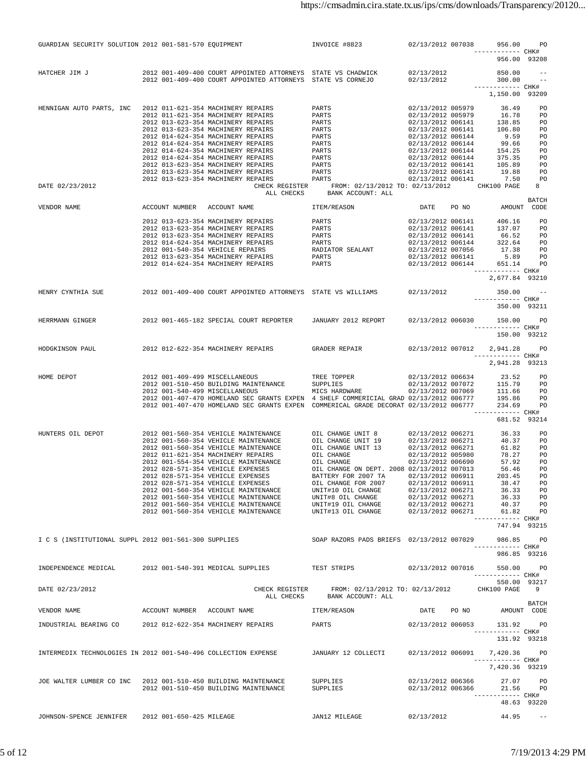| GUARDIAN SECURITY SOLUTION 2012 001-581-570 EQUIPMENT          |                                                                                                                                                                                                                                                                                                                                                                                                                          | INVOICE #8823 02/13/2012 007038                                                                                                                   |                                        | 956.00                                                                          | PO                          |
|----------------------------------------------------------------|--------------------------------------------------------------------------------------------------------------------------------------------------------------------------------------------------------------------------------------------------------------------------------------------------------------------------------------------------------------------------------------------------------------------------|---------------------------------------------------------------------------------------------------------------------------------------------------|----------------------------------------|---------------------------------------------------------------------------------|-----------------------------|
|                                                                |                                                                                                                                                                                                                                                                                                                                                                                                                          |                                                                                                                                                   |                                        | ------------ CHK#<br>956.00 93208                                               |                             |
| HATCHER JIM J                                                  | 2012 001-409-400 COURT APPOINTED ATTORNEYS STATE VS CHADWICK                                                                                                                                                                                                                                                                                                                                                             |                                                                                                                                                   | 02/13/2012                             | 850.00                                                                          |                             |
|                                                                | 2012 001-409-400 COURT APPOINTED ATTORNEYS STATE VS CORNEJO                                                                                                                                                                                                                                                                                                                                                              |                                                                                                                                                   | 02/13/2012                             | 300.00<br>------------ CHK#                                                     |                             |
|                                                                |                                                                                                                                                                                                                                                                                                                                                                                                                          |                                                                                                                                                   |                                        | 1,150.00 93209                                                                  |                             |
| HENNIGAN AUTO PARTS, INC                                       | 2012 011-621-354 MACHINERY REPAIRS                                                                                                                                                                                                                                                                                                                                                                                       | PARTS                                                                                                                                             | 02/13/2012 005979                      | 36.49                                                                           | PO                          |
|                                                                | 2012 011-621-354 MACHINERY REPAIRS<br>2012 013-623-354 MACHINERY REPAIRS                                                                                                                                                                                                                                                                                                                                                 | PARTS                                                                                                                                             | 02/13/2012 005979<br>02/13/2012 006141 | 16.78                                                                           | <b>PO</b>                   |
|                                                                | 2012 013-623-354 MACHINERY REPAIRS                                                                                                                                                                                                                                                                                                                                                                                       | PARTS<br>PARTS                                                                                                                                    | 02/13/2012 006141                      | 138.85 PO<br>106.80 PO                                                          |                             |
|                                                                | 2012 014-624-354 MACHINERY REPAIRS<br>2012 014-624-354 MACHINERY REPAIRS                                                                                                                                                                                                                                                                                                                                                 |                                                                                                                                                   | 02/13/2012 006144<br>02/13/2012 006144 | 9.59 PO<br>99.66 PO                                                             |                             |
|                                                                | 2012 014-624-354 MACHINERY REPAIRS                                                                                                                                                                                                                                                                                                                                                                                       | PARTS<br>PARTS<br>PARTS<br>PARTS                                                                                                                  |                                        | 02/13/2012 006144<br>02/13/2012 006144 154.25 PO<br>02/13/2012 006144 375.35 PO |                             |
|                                                                | 2012 014-624-354 MACHINERY REPAIRS                                                                                                                                                                                                                                                                                                                                                                                       |                                                                                                                                                   |                                        | 105.89 PO                                                                       |                             |
|                                                                | 2012 013-623-354 MACHINERY REPAIRS<br>2012 013-623-354 MACHINERY REPAIRS                                                                                                                                                                                                                                                                                                                                                 | PARTS<br>PARTS                                                                                                                                    | 02/13/2012 006141<br>02/13/2012 006141 | 19.88 PO                                                                        |                             |
|                                                                | PARTS<br>2012 013-623-354 MACHINERY REPAIRS                                                                                                                                                                                                                                                                                                                                                                              |                                                                                                                                                   | 02/13/2012 006141                      |                                                                                 | 7.50 PO                     |
| DATE 02/23/2012                                                |                                                                                                                                                                                                                                                                                                                                                                                                                          | CHECK REGISTER FROM: 02/13/2012 TO: 02/13/2012 CHK100 PAGE<br>ALL CHECKS BANK ACCOUNT: ALL                                                        |                                        |                                                                                 | 8                           |
| VENDOR NAME                                                    | ACCOUNT NUMBER ACCOUNT NAME THEM/REASON                                                                                                                                                                                                                                                                                                                                                                                  |                                                                                                                                                   | DATE PO NO                             |                                                                                 | <b>BATCH</b><br>AMOUNT CODE |
|                                                                | 2012 013-623-354 MACHINERY REPAIRS PARTS                                                                                                                                                                                                                                                                                                                                                                                 |                                                                                                                                                   | 02/13/2012 006141                      | 406.16                                                                          | <b>PO</b>                   |
|                                                                | 2012 013-623-354 MACHINERY REPAIRS                                                                                                                                                                                                                                                                                                                                                                                       | PARTS                                                                                                                                             | 02/13/2012 006141                      | 137.07 PO                                                                       |                             |
|                                                                | 2012 013-623-354 MACHINERY REPAIRS                                                                                                                                                                                                                                                                                                                                                                                       |                                                                                                                                                   | 02/13/2012 006141                      | 66.52 PO                                                                        |                             |
|                                                                | 2012 014-624-354 MACHINERY REPAIRS<br>2012 001-540-354 VEHICLE REPAIRS                                                                                                                                                                                                                                                                                                                                                   |                                                                                                                                                   |                                        | 322.64 PO<br>17.38 PO                                                           |                             |
|                                                                | 2012 013-623-354 MACHINERY REPAIRS                                                                                                                                                                                                                                                                                                                                                                                       | PARTS<br>PARTS 02/13/2012 006141<br>PARTS 02/13/2012 006144<br>RADIATOR SEALANT 02/13/2012 006141<br>PARTS 02/13/2012 006141<br>02/13/2012 006141 |                                        | 5.89 PO                                                                         |                             |
|                                                                | 2012 014-624-354 MACHINERY REPAIRS                                                                                                                                                                                                                                                                                                                                                                                       | PARTS                                                                                                                                             | 02/13/2012 006144                      | 651.14 PO<br>------------ CHK#                                                  |                             |
|                                                                |                                                                                                                                                                                                                                                                                                                                                                                                                          |                                                                                                                                                   |                                        | 2,677.84 93210                                                                  |                             |
|                                                                | HENRY CYNTHIA SUE 2012 001-409-400 COURT APPOINTED ATTORNEYS STATE VS WILLIAMS 02/13/2012                                                                                                                                                                                                                                                                                                                                |                                                                                                                                                   |                                        | 350.00<br>------------ CHK#                                                     | $\sim$ $-$                  |
|                                                                |                                                                                                                                                                                                                                                                                                                                                                                                                          |                                                                                                                                                   |                                        | 350.00 93211                                                                    |                             |
| HERRMANN GINGER                                                | 2012 001-465-182 SPECIAL COURT REPORTER JANUARY 2012 REPORT 02/13/2012 006030 150.00 PO                                                                                                                                                                                                                                                                                                                                  |                                                                                                                                                   |                                        |                                                                                 |                             |
|                                                                |                                                                                                                                                                                                                                                                                                                                                                                                                          |                                                                                                                                                   |                                        | ------------ CHK#<br>150.00 93212                                               |                             |
|                                                                |                                                                                                                                                                                                                                                                                                                                                                                                                          |                                                                                                                                                   |                                        |                                                                                 |                             |
| HODGKINSON PAUL 2012 012-622-354 MACHINERY REPAIRS             |                                                                                                                                                                                                                                                                                                                                                                                                                          | GRADER REPAIR 02/13/2012 007012                                                                                                                   |                                        | 2,941.28<br>------------ CHK#                                                   | PO                          |
|                                                                |                                                                                                                                                                                                                                                                                                                                                                                                                          |                                                                                                                                                   |                                        | 2,941.28 93213                                                                  |                             |
| HOME DEPOT                                                     | 2012 001-409-499 MISCELLANEOUS                                                                                                                                                                                                                                                                                                                                                                                           | TREE TOPPER                                                                                                                                       |                                        | 02/13/2012 006634 23.52 PO                                                      |                             |
|                                                                | 2012 001-510-450 BUILDING MAINTENANCE                                                                                                                                                                                                                                                                                                                                                                                    | <b>SUPPLIES</b>                                                                                                                                   |                                        |                                                                                 |                             |
|                                                                | 2012 001-540-499 MISCELLANEOUS<br>2012 001-407-470 HOMELAND SEC GRANTS EXPEN 4 SHELF COMMERICIAL GRAD 02/13/2012 006777                                                                                                                                                                                                                                                                                                  | MICS HARDWARE                                                                                                                                     |                                        |                                                                                 |                             |
|                                                                | 2012 001-407-470 HOMELAND SEC GRANTS EXPEN COMMERICAL GRADE DECORAT 02/13/2012 006777                                                                                                                                                                                                                                                                                                                                    |                                                                                                                                                   |                                        |                                                                                 |                             |
|                                                                |                                                                                                                                                                                                                                                                                                                                                                                                                          |                                                                                                                                                   |                                        | ------------ CHK#<br>681.52 93214                                               |                             |
| HUNTERS OIL DEPOT                                              | 2012 001-560-354 VEHICLE MAINTENANCE                                                                                                                                                                                                                                                                                                                                                                                     |                                                                                                                                                   |                                        | 36.33                                                                           | <b>PO</b>                   |
|                                                                | 2012 001-560-354 VEHICLE MAINTENANCE                                                                                                                                                                                                                                                                                                                                                                                     | OIL CHANGE UNIT 8 02/13/2012 006271<br>OIL CHANGE UNIT 19                                                                                         | 02/13/2012 006271                      |                                                                                 | 40.37 PO                    |
|                                                                |                                                                                                                                                                                                                                                                                                                                                                                                                          |                                                                                                                                                   | 02/13/2012 006271                      |                                                                                 | 61.82 PO                    |
|                                                                | $2012 \quad 011-600-354 \quad \text{VEHICLE MATENANCE} \qquad \qquad \text{OIL CHANGE MIT 13} \\ 2012 \quad 011-621-354 \quad \text{MACHINERY REPAIRS} \qquad \qquad \text{OIL CHANGE MIT 13} \\ 2012 \quad 001-554-354 \quad \text{VEHICLE MATENANCE} \qquad \qquad \text{OIL CHANGE} \\ 2012 \quad 028-571-254 \quad \text{VPMITEN ANCHI} \qquad \text{MINTENANCE} \qquad \qquad \text{OIL CHANGE} \\ 2013 \quad 028-$ | $\begin{array}{lllll} \texttt{UNIT} & 13 & 02/13/2012 & 006271 \\ & & 02/13/2012 & 005980 \\ & & 02/13/2012 & 006690 \end{array}$                 |                                        | 57.92                                                                           | 78.27 PO<br>PO              |
|                                                                | 2012 028-571-354 VEHICLE EXPENSES                                                                                                                                                                                                                                                                                                                                                                                        | OIL CHANGE ON DEPT. 2008 02/13/2012 007013                                                                                                        |                                        |                                                                                 | 56.46 PO                    |
|                                                                | 2012 028-571-354 VEHICLE EXPENSES<br>2012 028-571-354 VEHICLE EXPENSES                                                                                                                                                                                                                                                                                                                                                   | BATTERY FOR 2007 TA 02/13/2012 006911<br>OIL CHANGE FOR 2007 02/13/2012 006911                                                                    |                                        | 203.45<br>38.47 PO                                                              | <b>PO</b>                   |
|                                                                | 2012 001-560-354 VEHICLE MAINTENANCE<br>2012 001-560-354 VEHICLE MAINTENANCE<br>2012 001-560-354 VEHICLE MAINTENANCE UNIT#8 OIL CHANGE 02/13/2012 006271 36.33 PO                                                                                                                                                                                                                                                        |                                                                                                                                                   |                                        |                                                                                 |                             |
|                                                                | 2012 001-560-354 VEHICLE MAINTENANCE                                                                                                                                                                                                                                                                                                                                                                                     |                                                                                                                                                   |                                        |                                                                                 | 40.37 PO                    |
|                                                                | 2012 001-560-354 VEHICLE MAINTENANCE                                                                                                                                                                                                                                                                                                                                                                                     | UNIT#19 OIL CHANGE 02/13/2012 006271<br>UNIT#13 OIL CHANGE 02/13/2012 006271                                                                      | 02/13/2012 006271                      |                                                                                 | 61.82 PO                    |
|                                                                |                                                                                                                                                                                                                                                                                                                                                                                                                          |                                                                                                                                                   |                                        | ------------ CHK#<br>747.94 93215                                               |                             |
| I C S (INSTITUTIONAL SUPPL 2012 001-561-300 SUPPLIES           |                                                                                                                                                                                                                                                                                                                                                                                                                          | SOAP RAZORS PADS BRIEFS 02/13/2012 007029                                                                                                         |                                        | 986.85                                                                          | <b>PO</b>                   |
|                                                                |                                                                                                                                                                                                                                                                                                                                                                                                                          |                                                                                                                                                   |                                        | ------------ CHK#                                                               |                             |
|                                                                |                                                                                                                                                                                                                                                                                                                                                                                                                          |                                                                                                                                                   |                                        | 986.85 93216                                                                    |                             |
| INDEPENDENCE MEDICAL 2012 001-540-391 MEDICAL SUPPLIES         |                                                                                                                                                                                                                                                                                                                                                                                                                          | TEST STRIPS                                                                                                                                       | 02/13/2012 007016                      | 550.00 PO<br>------------ CHK#                                                  |                             |
|                                                                |                                                                                                                                                                                                                                                                                                                                                                                                                          |                                                                                                                                                   |                                        | 550.00 93217                                                                    |                             |
| DATE 02/23/2012                                                | ALL CHECKS                                                                                                                                                                                                                                                                                                                                                                                                               | CHECK REGISTER FROM: 02/13/2012 TO: 02/13/2012<br>BANK ACCOUNT: ALL                                                                               |                                        | CHK100 PAGE 9                                                                   |                             |
| VENDOR NAME                                                    | ACCOUNT NUMBER ACCOUNT NAME TEM/REASON                                                                                                                                                                                                                                                                                                                                                                                   |                                                                                                                                                   |                                        | DATE PO NO AMOUNT CODE                                                          | BATCH                       |
| INDUSTRIAL BEARING CO 2012 012-622-354 MACHINERY REPAIRS       |                                                                                                                                                                                                                                                                                                                                                                                                                          | PARTS                                                                                                                                             |                                        | 02/13/2012 006053 131.92 PO                                                     |                             |
|                                                                |                                                                                                                                                                                                                                                                                                                                                                                                                          |                                                                                                                                                   |                                        | ------------ CHK#                                                               |                             |
|                                                                |                                                                                                                                                                                                                                                                                                                                                                                                                          |                                                                                                                                                   |                                        | 131.92 93218                                                                    |                             |
| INTERMEDIX TECHNOLOGIES IN 2012 001-540-496 COLLECTION EXPENSE |                                                                                                                                                                                                                                                                                                                                                                                                                          | JANUARY 12 COLLECTI 02/13/2012 006091 7,420.36 PO                                                                                                 |                                        | ------------ CHK#                                                               |                             |
|                                                                |                                                                                                                                                                                                                                                                                                                                                                                                                          |                                                                                                                                                   |                                        | 7,420.36 93219                                                                  |                             |
| JOE WALTER LUMBER CO INC 2012 001-510-450 BUILDING MAINTENANCE |                                                                                                                                                                                                                                                                                                                                                                                                                          | SUPPLIES                                                                                                                                          |                                        | 02/13/2012 006366 27.07 PO                                                      |                             |
|                                                                | 2012 001-510-450 BUILDING MAINTENANCE                                                                                                                                                                                                                                                                                                                                                                                    | SUPPLIES                                                                                                                                          | 02/13/2012 006366                      |                                                                                 | 21.56 PO                    |
|                                                                |                                                                                                                                                                                                                                                                                                                                                                                                                          |                                                                                                                                                   |                                        | ------------ CHK#                                                               | 48.63 93220                 |
|                                                                |                                                                                                                                                                                                                                                                                                                                                                                                                          |                                                                                                                                                   |                                        |                                                                                 |                             |
| JOHNSON-SPENCE JENNIFER 2012 001-650-425 MILEAGE               |                                                                                                                                                                                                                                                                                                                                                                                                                          | JAN12 MILEAGE                                                                                                                                     | 02/13/2012                             |                                                                                 | $44.95 - -$                 |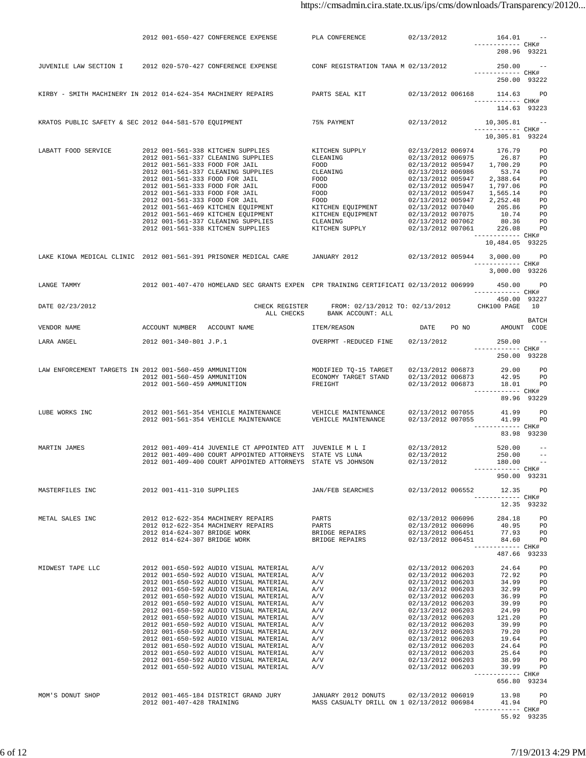|                     |  | 2012 001-650-427 CONFERENCE EXPENSE                                                                                                                                                                                                    | PLA CONFERENCE                                                                                 | 02/13/2012        | 164.01<br>------------ CHK#                                                                                                                                                                                                                                                                             | $\sim$ $   -$ |
|---------------------|--|----------------------------------------------------------------------------------------------------------------------------------------------------------------------------------------------------------------------------------------|------------------------------------------------------------------------------------------------|-------------------|---------------------------------------------------------------------------------------------------------------------------------------------------------------------------------------------------------------------------------------------------------------------------------------------------------|---------------|
|                     |  |                                                                                                                                                                                                                                        |                                                                                                |                   | 208.96 93221                                                                                                                                                                                                                                                                                            |               |
|                     |  | JUVENILE LAW SECTION I 2012 020-570-427 CONFERENCE EXPENSE CONF REGISTRATION TANA M 02/13/2012                                                                                                                                         |                                                                                                |                   | 250.00                                                                                                                                                                                                                                                                                                  |               |
|                     |  |                                                                                                                                                                                                                                        |                                                                                                |                   | ------------ CHK#                                                                                                                                                                                                                                                                                       |               |
|                     |  |                                                                                                                                                                                                                                        |                                                                                                |                   | 250.00 93222                                                                                                                                                                                                                                                                                            |               |
|                     |  | KIRBY - SMITH MACHINERY IN 2012 014-624-354 MACHINERY REPAIRS - PARTS SEAL KIT - 02/13/2012 006168 - 114.63 PO                                                                                                                         |                                                                                                |                   |                                                                                                                                                                                                                                                                                                         |               |
|                     |  |                                                                                                                                                                                                                                        |                                                                                                |                   | ------------ CHK#                                                                                                                                                                                                                                                                                       |               |
|                     |  |                                                                                                                                                                                                                                        |                                                                                                |                   | 114.63 93223                                                                                                                                                                                                                                                                                            |               |
|                     |  | -- "KRATOS PUBLIC SAFETY & SEC 2012 044-581-570 EQUIPMENT TEXT 75% PAYMENT 02/13/2012 10,305.81                                                                                                                                        |                                                                                                |                   |                                                                                                                                                                                                                                                                                                         |               |
|                     |  |                                                                                                                                                                                                                                        |                                                                                                |                   | ------------ CHK#<br>10,305.81 93224                                                                                                                                                                                                                                                                    |               |
|                     |  |                                                                                                                                                                                                                                        |                                                                                                |                   |                                                                                                                                                                                                                                                                                                         |               |
| LABATT FOOD SERVICE |  | 2012 001-561-338 KITCHEN SUPPLIES                                                                                                                                                                                                      | EXTICHEN SUPPLY $02/13/2012$ 006974<br>CLEANING $02/13/2012$ 006975<br>TOOD 10101212012 005047 |                   | 176.79 PO                                                                                                                                                                                                                                                                                               |               |
|                     |  | 2012 001-561-337 CLEANING SUPPLIES                                                                                                                                                                                                     |                                                                                                |                   | 02/13/2012 006975 26.87 PO                                                                                                                                                                                                                                                                              |               |
|                     |  |                                                                                                                                                                                                                                        |                                                                                                |                   |                                                                                                                                                                                                                                                                                                         |               |
|                     |  |                                                                                                                                                                                                                                        |                                                                                                |                   |                                                                                                                                                                                                                                                                                                         |               |
|                     |  |                                                                                                                                                                                                                                        |                                                                                                |                   |                                                                                                                                                                                                                                                                                                         |               |
|                     |  |                                                                                                                                                                                                                                        |                                                                                                |                   |                                                                                                                                                                                                                                                                                                         |               |
|                     |  |                                                                                                                                                                                                                                        |                                                                                                |                   |                                                                                                                                                                                                                                                                                                         |               |
|                     |  |                                                                                                                                                                                                                                        |                                                                                                |                   |                                                                                                                                                                                                                                                                                                         |               |
|                     |  |                                                                                                                                                                                                                                        |                                                                                                |                   |                                                                                                                                                                                                                                                                                                         |               |
|                     |  |                                                                                                                                                                                                                                        |                                                                                                |                   | ------------ CHK#<br>10,484.05 93225                                                                                                                                                                                                                                                                    |               |
|                     |  |                                                                                                                                                                                                                                        |                                                                                                |                   |                                                                                                                                                                                                                                                                                                         |               |
|                     |  | LAKE KIOWA MEDICAL CLINIC 2012 001-561-391 PRISONER MEDICAL CARE JANUARY 2012 02/13/2012 005944 3,000.00 PO                                                                                                                            |                                                                                                |                   | ------------ CHK#                                                                                                                                                                                                                                                                                       |               |
|                     |  |                                                                                                                                                                                                                                        |                                                                                                |                   | 3,000.00 93226                                                                                                                                                                                                                                                                                          |               |
|                     |  |                                                                                                                                                                                                                                        |                                                                                                |                   |                                                                                                                                                                                                                                                                                                         |               |
| LANGE TAMMY         |  | 2012 001-407-470 HOMELAND SEC GRANTS EXPEN CPR TRAINING CERTIFICATI 02/13/2012 006999 450.00 PO                                                                                                                                        |                                                                                                |                   | ------------ CHK#                                                                                                                                                                                                                                                                                       |               |
|                     |  |                                                                                                                                                                                                                                        |                                                                                                |                   | 450.00 93227                                                                                                                                                                                                                                                                                            |               |
| DATE 02/23/2012     |  | CHECK REGISTER                                                                                                                                                                                                                         | FROM: 02/13/2012 TO: 02/13/2012 CHK100 PAGE 10<br>ALL CHECKS BANK ACCOUNT: ALL                 |                   |                                                                                                                                                                                                                                                                                                         |               |
|                     |  |                                                                                                                                                                                                                                        |                                                                                                |                   |                                                                                                                                                                                                                                                                                                         | BATCH         |
|                     |  |                                                                                                                                                                                                                                        | ITEM/REASON                                                                                    |                   | DATE PO NO AMOUNT CODE                                                                                                                                                                                                                                                                                  |               |
|                     |  | LARA ANGEL 2012 001-340-801 J.P.1 OVERPMT -REDUCED FINE 02/13/2012                                                                                                                                                                     |                                                                                                |                   | 250.00                                                                                                                                                                                                                                                                                                  |               |
|                     |  |                                                                                                                                                                                                                                        |                                                                                                |                   | ------------ CHK#                                                                                                                                                                                                                                                                                       |               |
|                     |  |                                                                                                                                                                                                                                        |                                                                                                |                   | 250.00 93228                                                                                                                                                                                                                                                                                            |               |
|                     |  | LAW ENFORCEMENT TARGETS IN 2012 001-560-459 AMMUNITION MODIFIED TO-15 TARGET<br>2012 001-560-459 AMMUNITION ECONOMY TARGET STAND                                                                                                       |                                                                                                |                   | $\begin{array}{cccc} 02/13/2012 & 006873 & \hspace*{1.5cm} 29.00 & \hspace*{1.5cm} \text{PO} \\ 02/13/2012 & 006873 & \hspace*{1.5cm} 42.95 & \hspace*{1.5cm} \text{PO} \end{array}$                                                                                                                    |               |
|                     |  | 2012 001-560-459 AMMUNITION                                                                                                                                                                                                            | FREIGHT                                                                                        | 02/13/2012 006873 |                                                                                                                                                                                                                                                                                                         | 18.01 PO      |
|                     |  |                                                                                                                                                                                                                                        |                                                                                                |                   | ------------ CHK#                                                                                                                                                                                                                                                                                       |               |
|                     |  |                                                                                                                                                                                                                                        |                                                                                                |                   |                                                                                                                                                                                                                                                                                                         | 89.96 93229   |
| LUBE WORKS INC      |  |                                                                                                                                                                                                                                        |                                                                                                |                   | 41.99                                                                                                                                                                                                                                                                                                   | <b>PO</b>     |
|                     |  |                                                                                                                                                                                                                                        |                                                                                                |                   |                                                                                                                                                                                                                                                                                                         | 41.99 PO      |
|                     |  |                                                                                                                                                                                                                                        |                                                                                                |                   | ------------ CHK#                                                                                                                                                                                                                                                                                       | 83.98 93230   |
|                     |  |                                                                                                                                                                                                                                        |                                                                                                |                   |                                                                                                                                                                                                                                                                                                         |               |
| MARTIN JAMES        |  | 2012 001-409-414 JUVENILE CT APPOINTED ATT JUVENILE M L I 02/13/2012 520.00 --<br>2012 001-409-400 COURT APPOINTED ATTORNEYS STATE VS LUNA 02/13/2012 250.00 --<br>2012 001-409-400 COURT APPOINTED ATTORNEYS STATE VS JOHNSON 02/13   |                                                                                                |                   |                                                                                                                                                                                                                                                                                                         |               |
|                     |  | 2012 001-409-400 COURT APPOINTED ATTORNEYS STATE VS JOHNSON                                                                                                                                                                            |                                                                                                |                   |                                                                                                                                                                                                                                                                                                         |               |
|                     |  |                                                                                                                                                                                                                                        |                                                                                                |                   | ------------ CHK#                                                                                                                                                                                                                                                                                       |               |
|                     |  |                                                                                                                                                                                                                                        |                                                                                                |                   | 950.00 93231                                                                                                                                                                                                                                                                                            |               |
|                     |  |                                                                                                                                                                                                                                        |                                                                                                |                   |                                                                                                                                                                                                                                                                                                         |               |
|                     |  |                                                                                                                                                                                                                                        |                                                                                                |                   | ------------ CHK#                                                                                                                                                                                                                                                                                       |               |
|                     |  |                                                                                                                                                                                                                                        |                                                                                                |                   | 12.35 93232                                                                                                                                                                                                                                                                                             |               |
|                     |  |                                                                                                                                                                                                                                        |                                                                                                |                   |                                                                                                                                                                                                                                                                                                         |               |
|                     |  |                                                                                                                                                                                                                                        |                                                                                                |                   |                                                                                                                                                                                                                                                                                                         |               |
|                     |  | METAL SALES INC<br>2012 012-622-354 MACHINERY REPAIRS PARTS 02/13/2012 006096 284.18 PO<br>2012 014-624-307 BRIDGE WORK BEDGE REPAIRS 02/13/2012 006096 40.95 PO<br>2012 014-624-307 BRIDGE WORK BRIDGE REPAIRS 02/13/2012 006451 77.9 |                                                                                                |                   |                                                                                                                                                                                                                                                                                                         |               |
|                     |  |                                                                                                                                                                                                                                        |                                                                                                |                   | ------------ CHK#                                                                                                                                                                                                                                                                                       |               |
|                     |  |                                                                                                                                                                                                                                        |                                                                                                |                   | 487.66 93233                                                                                                                                                                                                                                                                                            |               |
| MIDWEST TAPE LLC    |  | 2012 001-650-592 AUDIO VISUAL MATERIAL A/V                                                                                                                                                                                             |                                                                                                |                   |                                                                                                                                                                                                                                                                                                         |               |
|                     |  |                                                                                                                                                                                                                                        |                                                                                                |                   |                                                                                                                                                                                                                                                                                                         |               |
|                     |  |                                                                                                                                                                                                                                        |                                                                                                |                   |                                                                                                                                                                                                                                                                                                         |               |
|                     |  |                                                                                                                                                                                                                                        |                                                                                                |                   |                                                                                                                                                                                                                                                                                                         |               |
|                     |  |                                                                                                                                                                                                                                        |                                                                                                |                   |                                                                                                                                                                                                                                                                                                         |               |
|                     |  |                                                                                                                                                                                                                                        |                                                                                                |                   |                                                                                                                                                                                                                                                                                                         |               |
|                     |  |                                                                                                                                                                                                                                        |                                                                                                |                   |                                                                                                                                                                                                                                                                                                         |               |
|                     |  |                                                                                                                                                                                                                                        |                                                                                                |                   |                                                                                                                                                                                                                                                                                                         |               |
|                     |  |                                                                                                                                                                                                                                        |                                                                                                |                   |                                                                                                                                                                                                                                                                                                         |               |
|                     |  |                                                                                                                                                                                                                                        |                                                                                                |                   |                                                                                                                                                                                                                                                                                                         |               |
|                     |  |                                                                                                                                                                                                                                        |                                                                                                |                   | $\begin{array}{cccc} 02/13/2012 & 006203 & 24.64 & \text{PO} \\ 02/13/2012 & 006203 & 72.92 & \text{PO} \\ 02/13/2012 & 006203 & 34.99 & \text{PO} \\ 02/13/2012 & 006203 & 32.99 & \text{PO} \\ 02/13/2012 & 006203 & 36.99 & \text{PO} \\ 02/13/2012 & 006203 & 39.99 & \text{PO} \\ 02/13/2012 & 00$ |               |
|                     |  |                                                                                                                                                                                                                                        |                                                                                                |                   | ------------ CHK#                                                                                                                                                                                                                                                                                       |               |
|                     |  |                                                                                                                                                                                                                                        |                                                                                                |                   | 656.80 93234                                                                                                                                                                                                                                                                                            |               |
| MOM'S DONUT SHOP    |  |                                                                                                                                                                                                                                        |                                                                                                |                   |                                                                                                                                                                                                                                                                                                         |               |
|                     |  |                                                                                                                                                                                                                                        |                                                                                                |                   | ----------- CHK#                                                                                                                                                                                                                                                                                        |               |
|                     |  |                                                                                                                                                                                                                                        |                                                                                                |                   | 55.92 93235                                                                                                                                                                                                                                                                                             |               |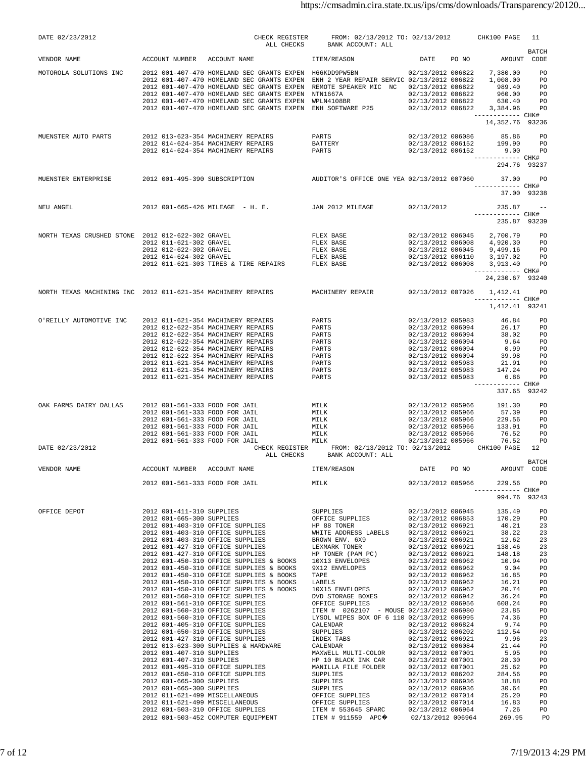| DATE 02/23/2012                                        |                                |                                                                                                                                                                                                                                                                                                                                                                                                                                                                                                                                                                                                                                                                   | CHECK REGISTER FROM: 02/13/2012 TO: 02/13/2012 CHK100 PAGE<br>ALL CHECKS BANK ACCOUNT: ALL                                                                                                                                                                                                                                                                                                                                                                                                                                          |                                                                                                                                                                      |       |                                                                                                                                                                                                                                                                                                                                                 | 11                                                                                                                                                                               |
|--------------------------------------------------------|--------------------------------|-------------------------------------------------------------------------------------------------------------------------------------------------------------------------------------------------------------------------------------------------------------------------------------------------------------------------------------------------------------------------------------------------------------------------------------------------------------------------------------------------------------------------------------------------------------------------------------------------------------------------------------------------------------------|-------------------------------------------------------------------------------------------------------------------------------------------------------------------------------------------------------------------------------------------------------------------------------------------------------------------------------------------------------------------------------------------------------------------------------------------------------------------------------------------------------------------------------------|----------------------------------------------------------------------------------------------------------------------------------------------------------------------|-------|-------------------------------------------------------------------------------------------------------------------------------------------------------------------------------------------------------------------------------------------------------------------------------------------------------------------------------------------------|----------------------------------------------------------------------------------------------------------------------------------------------------------------------------------|
| VENDOR NAME                                            |                                | ACCOUNT NUMBER ACCOUNT NAME TTEM/REASON                                                                                                                                                                                                                                                                                                                                                                                                                                                                                                                                                                                                                           |                                                                                                                                                                                                                                                                                                                                                                                                                                                                                                                                     |                                                                                                                                                                      |       | DATE PO NO AMOUNT CODE                                                                                                                                                                                                                                                                                                                          | <b>BATCH</b>                                                                                                                                                                     |
|                                                        |                                | MOTOROLA SOLUTIONS INC 2012 001-407-470 HOMELAND SEC GRANTS EXPEN H66KDD9PW5BN 02/13/2012 006822 7,380.00 PO<br>2012 001-407-470 HOMELAND SEC GRANTS EXPEN ENH 2 YEAR REPAIR SERVIC 02/13/2012 006822 1,008.00 PO<br>2012 001-407-47<br>2012 001-407-470 HOMELAND SEC GRANTS EXPEN NTN1667A<br>2012 001-407-470 HOMELAND SEC GRANTS EXPEN WPLN4108BR<br>2012 001-407-470 HOMELAND SEC GRANTS EXPEN ENH SOFTWARE P25 02/13/2012 006822 3,384.96 TPO                                                                                                                                                                                                                |                                                                                                                                                                                                                                                                                                                                                                                                                                                                                                                                     |                                                                                                                                                                      |       |                                                                                                                                                                                                                                                                                                                                                 |                                                                                                                                                                                  |
|                                                        |                                |                                                                                                                                                                                                                                                                                                                                                                                                                                                                                                                                                                                                                                                                   |                                                                                                                                                                                                                                                                                                                                                                                                                                                                                                                                     |                                                                                                                                                                      |       | ------------ CHK#<br>14,352.76 93236                                                                                                                                                                                                                                                                                                            |                                                                                                                                                                                  |
| MUENSTER AUTO PARTS 2012 013-623-354 MACHINERY REPAIRS |                                |                                                                                                                                                                                                                                                                                                                                                                                                                                                                                                                                                                                                                                                                   |                                                                                                                                                                                                                                                                                                                                                                                                                                                                                                                                     |                                                                                                                                                                      |       | ------------ CHK#                                                                                                                                                                                                                                                                                                                               |                                                                                                                                                                                  |
|                                                        |                                | MUENSTER ENTERPRISE 2012 001-495-390 SUBSCRIPTION AUDITOR'S OFFICE ONE YEA 02/13/2012 007060 37.00                                                                                                                                                                                                                                                                                                                                                                                                                                                                                                                                                                |                                                                                                                                                                                                                                                                                                                                                                                                                                                                                                                                     |                                                                                                                                                                      |       | 294.76 93237                                                                                                                                                                                                                                                                                                                                    | <b>PO</b>                                                                                                                                                                        |
|                                                        |                                |                                                                                                                                                                                                                                                                                                                                                                                                                                                                                                                                                                                                                                                                   |                                                                                                                                                                                                                                                                                                                                                                                                                                                                                                                                     |                                                                                                                                                                      |       | ------------ CHK#<br>37.00 93238                                                                                                                                                                                                                                                                                                                |                                                                                                                                                                                  |
| NEU ANGEL                                              |                                | 2012 001-665-426 MILEAGE - H. E. JAN 2012 MILEAGE 02/13/2012                                                                                                                                                                                                                                                                                                                                                                                                                                                                                                                                                                                                      |                                                                                                                                                                                                                                                                                                                                                                                                                                                                                                                                     |                                                                                                                                                                      |       | $235.87 - -$<br>------------ CHK#<br>235.87 93239                                                                                                                                                                                                                                                                                               |                                                                                                                                                                                  |
|                                                        |                                | NORTH TEXAS CRUSHED STONE 2012 012-622-302 GRAVEL PLEX BASE 02/13/2012 006045 2,700.79 PO<br>2012 011-621-302 GRAVEL PLEX BASE 02/13/2012 006008 4,920.30 PO<br>2012 012-622-302 GRAVEL PLEX BASE 02/13/2012 006045 9,499.16 PO<br>2012                                                                                                                                                                                                                                                                                                                                                                                                                           |                                                                                                                                                                                                                                                                                                                                                                                                                                                                                                                                     |                                                                                                                                                                      |       | ------------ CHK#<br>24, 230.67 93240                                                                                                                                                                                                                                                                                                           |                                                                                                                                                                                  |
|                                                        |                                | NORTH TEXAS MACHINING INC 2012 011-621-354 MACHINERY REPAIRS MACHINERY REPAIR 02/13/2012 007026 1,412.41 PO                                                                                                                                                                                                                                                                                                                                                                                                                                                                                                                                                       |                                                                                                                                                                                                                                                                                                                                                                                                                                                                                                                                     |                                                                                                                                                                      |       | ------------ CHK#<br>1,412.41 93241                                                                                                                                                                                                                                                                                                             |                                                                                                                                                                                  |
| O'REILLY AUTOMOTIVE INC                                |                                | 2012 011-621-354 MACHINERY REPAIRS<br>2012 012-622-354 MACHINERY REPAIRS<br>2012 012-622-354 MACHINERY REPAIRS<br>2012 012-622-354 MACHINERY REPAIRS<br>2012 012-622-354 MACHINERY REPAIRS<br>2012 012-622-354 MACHINERY REPAIRS<br>2012 011-621-354 MACHINERY REPAIRS<br>2012 011-621-354 MACHINERY REPAIRS<br>2012 011-621-354 MACHINERY REPAIRS                                                                                                                                                                                                                                                                                                                | PARTS 02/13/2012 005983 46.84 PO<br>PARTS 02/13/2012 006094 26.17 PO<br>PARTS 02/13/2012 006094 38.02 PO<br>PARTS 02/13/2012 006094 9.64 PO<br>PARTS 02/13/2012 006094 9.64 PO<br>PARTS 02/13/2012 006094 39.98 PO<br>PARTS 02/13/2012 006                                                                                                                                                                                                                                                                                          |                                                                                                                                                                      |       | ------------ CHK#<br>337.65 93242                                                                                                                                                                                                                                                                                                               |                                                                                                                                                                                  |
| OAK FARMS DAIRY DALLAS                                 | 2012 001-561-333 FOOD FOR JAIL | 2012 001-561-333 FOOD FOR JAIL<br>2012 001-561-333 FOOD FOR JAIL<br>$\begin{tabular}{lllllllllll} \multicolumn{2}{c}{\multicolumn{2}{c}{\multicolumn{2}{c}{\multicolumn{2}{c}{\multicolumn{2}{c}{\multicolumn{2}{c}{\multicolumn{2}{c}{\multicolumn{2}{c}{\multicolumn{2}{c}{\multicolumn{2}{c}{\multicolumn{2}{c}{\multicolumn{2}{c}{\multicolumn{2}{c}{\multicolumn{2}{c}{\multicolumn{2}{c}{\multicolumn{2}{c}{\multicolumn{2}{c}{\multicolumn{2}{c}{\multicolumn{2}{c}{\multicolumn{2}{c}{\multicolumn{2}{c}{\multicolumn{2}{c}{\multicolumn{2}{c}{$                                                                                                          | MILK<br>MILK<br>MILK<br>MILK                                                                                                                                                                                                                                                                                                                                                                                                                                                                                                        | 02/13/2012 005966                                                                                                                                                    |       | 02/13/2012 005966 191.30<br>02/13/2012 005966 57.39 PO<br>02/13/2012 005966 229.56 PO<br>02/13/2012 005966 133.91 PO<br>76.52 PO<br>02/13/2012 005966 76.52 PO                                                                                                                                                                                  | <b>PO</b>                                                                                                                                                                        |
| DATE 02/23/2012                                        |                                |                                                                                                                                                                                                                                                                                                                                                                                                                                                                                                                                                                                                                                                                   | CHECK REGISTER FROM: 02/13/2012 TO: 02/13/2012 CHK100 PAGE 12<br>ALL CHECKS BANK ACCOUNT: ALL                                                                                                                                                                                                                                                                                                                                                                                                                                       |                                                                                                                                                                      |       |                                                                                                                                                                                                                                                                                                                                                 |                                                                                                                                                                                  |
| VENDOR NAME                                            | ACCOUNT NUMBER                 | ACCOUNT NAME                                                                                                                                                                                                                                                                                                                                                                                                                                                                                                                                                                                                                                                      | ITEM/REASON                                                                                                                                                                                                                                                                                                                                                                                                                                                                                                                         | DATE                                                                                                                                                                 | PO NO | AMOUNT CODE                                                                                                                                                                                                                                                                                                                                     | BATCH                                                                                                                                                                            |
|                                                        |                                | 2012 001-561-333 FOOD FOR JAIL                                                                                                                                                                                                                                                                                                                                                                                                                                                                                                                                                                                                                                    | MILK 02/13/2012 005966                                                                                                                                                                                                                                                                                                                                                                                                                                                                                                              |                                                                                                                                                                      |       | 229.56<br>----------- CHK#<br>994.76 93243                                                                                                                                                                                                                                                                                                      | PO <sub>1</sub>                                                                                                                                                                  |
| OFFICE DEPOT                                           |                                | 2012 001-450-310 OFFICE SUPPLIES & BOOKS<br>2012 001-450-310 OFFICE SUPPLIES & BOOKS<br>2012 001-450-310 OFFICE SUPPLIES & BOOKS<br>2012 001-450-310 OFFICE SUPPLIES & BOOKS<br>2012 001-450-310 OFFICE SUPPLIES & BOOKS<br>2012 001-560-310 OFFICE SUPPLIES<br>2012 001-560-310 OFFICE SUPPLIES<br>2012 001-560-310 OFFICE SUPPLIES<br>2012 001-405-310 OFFICE SUPPLIES<br>2012 001-405-310 OFFICE SUPPLIES<br>2012 001-427-310 OFFICE SUPPLIES<br>2012 001-427-310 OFFICE SUPPLIES<br>2012 013-623-300 SUPPLIES & HARDWARE<br>2012 001-407-310 SUPPLIES<br>2012 001-407-310 SUPPLIES<br>2012 001-503-452 COMPUTER EQUIPMENT ITEM # 911559 APC 02/13/2012 006964 | HP 88 TONER                                     02/13/2012  006921<br>WHITE ADDRESS LABELS           02/13/2012  006921<br>TAPE 02/13/2012 006962<br>LABELS 02/13/2012 006962<br>10X15 ENVELOPES 02/13/2012 006962<br>DVD STORAGE BOXES 02/13/2012 006942<br>OFFICE SUPPLIES 02/13/2012 006956<br>ITEM # 0262107 - MOUSE 02/13/2012 006980<br>LYSOL WIPES BOX OF 6 110 02/13/2012 006995<br><b>CALENDAR</b><br>SUPPLIES<br>INDEX TABS<br>CALENDAR<br>MAXWELL MULTI-COLOR 02/13/2012 007001<br>HP 10 BLACK INK CAR 02/13/2012 007001 | 02/13/2012 006945<br>02/13/2012 006921<br>02/13/2012 006962<br>02/13/2012 006824<br>02/13/2012 006202<br>02/13/2012 006921<br>02/13/2012 006084<br>02/13/2012 006936 |       | 135.49<br>02/13/2012 006853 170.29<br>40.21<br>38.22<br>12.62<br>$02/13/2012$ $006921$ $138.46$<br>$02/13/2012$ $006921$ $148.18$<br>10.94<br>9.04<br>16.85<br>16.21<br>20.74<br>36.24<br>608.24<br>23.85<br>74.36<br>9.74<br>112.54<br>9.96<br>21.44<br>5.95<br>28.30<br>25.62<br>284.56<br>18.88<br>30.64<br>25.20<br>16.83<br>7.26<br>269.95 | PO<br>PO<br>23<br>23<br>23<br>23<br>23<br>PO<br>PO<br>PO<br>PO<br>PO<br>PO<br>PO<br>PO<br>PO<br>PO<br>P0<br>23<br>PO<br>P0<br>PO<br>PO<br>P0<br>P0<br>PO<br>PO<br>PO<br>PO<br>PO |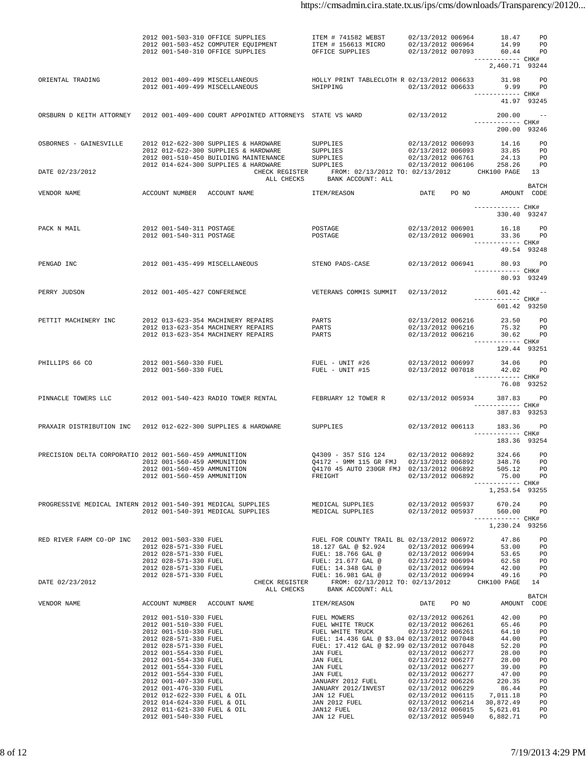|                                                                                                              |                                                      | 2012 001-503-310 OFFICE SUPPLIES<br>2012 001-503-452 COMPUTER EQUIPMENT<br>2012 001-503-452 COMPUTER EQUIPMENT<br>2012 001-540-310 OFFICE SUPPLIES OFFICE SUPPLIES 02/13/2012 007093 60.44 PO                                                                                                                                       | ITEM # 741582 WEBST                                                                           | 02/13/2012 006964                                                                          | 18.47 PO                            |              |
|--------------------------------------------------------------------------------------------------------------|------------------------------------------------------|-------------------------------------------------------------------------------------------------------------------------------------------------------------------------------------------------------------------------------------------------------------------------------------------------------------------------------------|-----------------------------------------------------------------------------------------------|--------------------------------------------------------------------------------------------|-------------------------------------|--------------|
|                                                                                                              |                                                      |                                                                                                                                                                                                                                                                                                                                     |                                                                                               | ------------ CHK#                                                                          | 2,460.71 93244                      |              |
| ORIENTAL TRADING                                                                                             |                                                      | 2012 001-409-499 MISCELLANEOUS HOLLY PRINT TABLECLOTH R 02/13/2012 006633 31.98 PO<br>2012 001-409-499 MISCELLANEOUS                                                                                                                                                                                                                | SHIPPING 02/13/2012 006633 9.99 PO                                                            |                                                                                            | 41.97 93245                         |              |
|                                                                                                              |                                                      | ORSBURN D KEITH ATTORNEY 2012 001-409-400 COURT APPOINTED ATTORNEYS STATE VS WARD                                                                                                                                                                                                                                                   |                                                                                               | $02/13/2012$ 200.00 --                                                                     | ------------ CHK#<br>200.00 93246   |              |
| OSBORNES - GAINESVILLE<br>DATE 02/23/2012                                                                    |                                                      |                                                                                                                                                                                                                                                                                                                                     | CHECK REGISTER FROM: 02/13/2012 TO: 02/13/2012 CHK100 PAGE 13<br>ALL CHECKS BANK ACCOUNT: ALL |                                                                                            |                                     |              |
| VENDOR NAME                                                                                                  |                                                      | ACCOUNT NUMBER ACCOUNT NAME   ITEM/REASON   DATE   PO NO   AMOUNT CODE                                                                                                                                                                                                                                                              |                                                                                               |                                                                                            |                                     | <b>BATCH</b> |
|                                                                                                              |                                                      |                                                                                                                                                                                                                                                                                                                                     |                                                                                               |                                                                                            | ------------ CHK#<br>330.40 93247   |              |
| PACK N MAIL                                                                                                  | 2012 001-540-311 POSTAGE<br>2012 001-540-311 POSTAGE |                                                                                                                                                                                                                                                                                                                                     | POSTAGE<br>POSTAGE                                                                            | 02/13/2012 006901 16.18 PO<br>02/13/2012 006901 33.36 PO                                   | ------------ CHK#<br>49.54 93248    |              |
| PENGAD INC                                                                                                   |                                                      | 2012 001-435-499 MISCELLANEOUS STENO PADS-CASE                                                                                                                                                                                                                                                                                      |                                                                                               | 02/13/2012 006941 80.93 PO                                                                 | ------------ CHK#<br>80.93 93249    |              |
| PERRY JUDSON                                                                                                 |                                                      | 2012 001-405-427 CONFERENCE <b>12013</b> VETERANS COMMIS SUMMIT 02/13/2012 601.42 --                                                                                                                                                                                                                                                |                                                                                               |                                                                                            | ------------ CHK#<br>601.42 93250   |              |
| PETTIT MACHINERY INC<br>2012 013-623-354 MACHINERY REPAIRS PARTS<br>2012 013-623-354 MACHINERY REPAIRS PARTS |                                                      | 2012 013-623-354 MACHINERY REPAIRS                                                                                                                                                                                                                                                                                                  | PARTS                                                                                         | 02/13/2012 006216  23.50  PO<br>02/13/2012 006216  75.32  PO<br>02/13/2012 006216 30.62 PO | ------------ CHK#                   |              |
|                                                                                                              |                                                      |                                                                                                                                                                                                                                                                                                                                     |                                                                                               |                                                                                            | 129.44 93251                        |              |
| PHILLIPS 66 CO                                                                                               | 2012 001-560-330 FUEL<br>2012 001-560-330 FUEL       |                                                                                                                                                                                                                                                                                                                                     | FUEL - UNIT #26<br>FUEL - UNIT #15                                                            | 02/13/2012 006997<br>02/13/2012 007018 42.02 PO                                            | 34.06 PO<br>------------ CHK#       |              |
|                                                                                                              |                                                      |                                                                                                                                                                                                                                                                                                                                     |                                                                                               |                                                                                            | 76.08 93252                         |              |
|                                                                                                              |                                                      | PINNACLE TOWERS LLC 		 2012 001-540-423 RADIO TOWER RENTAL 		 FEBRUARY 12 TOWER R                                                                                                                                                                                                                                                   |                                                                                               | 02/13/2012 005934 387.83 PO                                                                | ------------ CHK#<br>387.83 93253   |              |
| PRAXAIR DISTRIBUTION INC 2012 012-622-300 SUPPLIES & HARDWARE                                                |                                                      |                                                                                                                                                                                                                                                                                                                                     | SUPPLIES                                                                                      | 02/13/2012 006113 183.36 PO                                                                | ------------ CHK#<br>183.36 93254   |              |
| PRECISION DELTA CORPORATIO 2012 001-560-459 AMMUNITION                                                       |                                                      | $\begin{array}{cccccccc} 2012 & 001-560-459 & \text{AMUMITION} & \text{Q4172 - 9MM 115 GR FMJ} & 02/13/2012 & 006892 & 348.76 & \text{PO} \\ 2012 & 001-560-459 & \text{AMMMITION} & \text{Q4170 45 AUTO 230GR FMJ} & 02/13/2012 & 006892 & 505.12 & \text{PO} \\ 2012 & 001-560-459 & \text{AMUMITION} & \text{FREIGHT} & 02/13/2$ | Q4309 - 357 SIG 124 02/13/2012 006892 324.66 PO                                               |                                                                                            | ------------ CHK#<br>1,253.54 93255 |              |
|                                                                                                              |                                                      | PROGRESSIVE MEDICAL INTERN 2012 001-540-391 MEDICAL SUPPLIES MEDICAL SUPPLIES 02/13/2012 005937 670.24 PO<br>2012 001-540-391 MEDICAL SUPPLIES MEDICAL SUPPLIES 02/13/2012 005937 560.00 PO                                                                                                                                         |                                                                                               |                                                                                            | ------------ CHK#                   |              |
|                                                                                                              |                                                      |                                                                                                                                                                                                                                                                                                                                     |                                                                                               |                                                                                            | 1,230.24 93256                      |              |
|                                                                                                              |                                                      |                                                                                                                                                                                                                                                                                                                                     |                                                                                               |                                                                                            |                                     |              |
|                                                                                                              |                                                      |                                                                                                                                                                                                                                                                                                                                     | ITEM/REASON                                                                                   | DATE PO NO AMOUNT CODE                                                                     |                                     | <b>BATCH</b> |
|                                                                                                              |                                                      |                                                                                                                                                                                                                                                                                                                                     |                                                                                               |                                                                                            |                                     |              |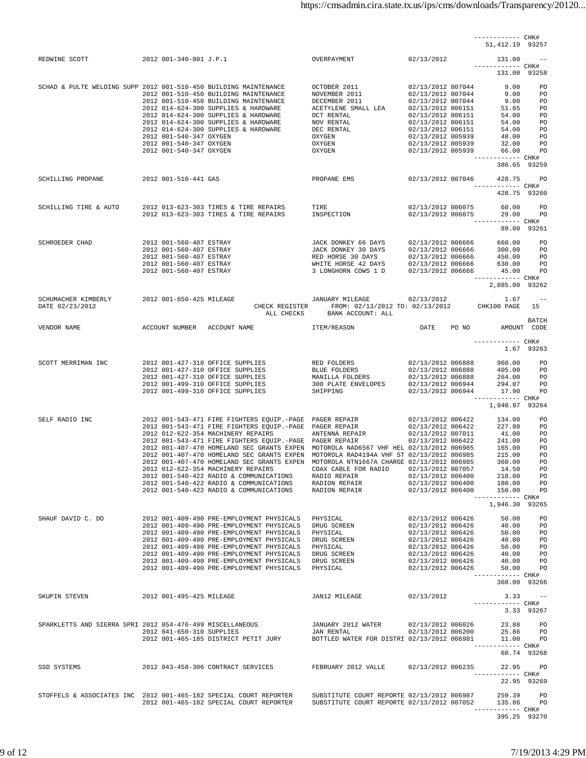|                                                                  |                                                                                                                                                                                                                                      |                                                                                                                                                                                                                |  | ------------ CHK#<br>51, 412.19 93257 |             |
|------------------------------------------------------------------|--------------------------------------------------------------------------------------------------------------------------------------------------------------------------------------------------------------------------------------|----------------------------------------------------------------------------------------------------------------------------------------------------------------------------------------------------------------|--|---------------------------------------|-------------|
|                                                                  | REDWINE SCOTT 2012 001-340-801 J.P.1 0VERPAYMENT 02/13/2012 131.00 --                                                                                                                                                                |                                                                                                                                                                                                                |  |                                       |             |
|                                                                  |                                                                                                                                                                                                                                      |                                                                                                                                                                                                                |  | ------------ CHK#<br>131.00 93258     |             |
| SCHAD & PULTE WELDING SUPP 2012 001-510-450 BUILDING MAINTENANCE |                                                                                                                                                                                                                                      |                                                                                                                                                                                                                |  |                                       |             |
|                                                                  |                                                                                                                                                                                                                                      |                                                                                                                                                                                                                |  |                                       |             |
|                                                                  |                                                                                                                                                                                                                                      |                                                                                                                                                                                                                |  |                                       |             |
|                                                                  |                                                                                                                                                                                                                                      |                                                                                                                                                                                                                |  |                                       |             |
|                                                                  |                                                                                                                                                                                                                                      |                                                                                                                                                                                                                |  |                                       |             |
|                                                                  |                                                                                                                                                                                                                                      |                                                                                                                                                                                                                |  | ------------ CHK#<br>386.65 93259     |             |
| SCHILLING PROPANE 2012 001-510-441 GAS                           |                                                                                                                                                                                                                                      | PROPANE EMS 02/13/2012 007046 428.75 PO                                                                                                                                                                        |  |                                       |             |
|                                                                  |                                                                                                                                                                                                                                      |                                                                                                                                                                                                                |  | ------------ CHK#<br>428.75 93260     |             |
|                                                                  |                                                                                                                                                                                                                                      |                                                                                                                                                                                                                |  |                                       |             |
|                                                                  |                                                                                                                                                                                                                                      |                                                                                                                                                                                                                |  | ------------ CHK#                     |             |
|                                                                  |                                                                                                                                                                                                                                      |                                                                                                                                                                                                                |  | 89.00 93261                           |             |
| SCHROEDER CHAD                                                   |                                                                                                                                                                                                                                      |                                                                                                                                                                                                                |  |                                       |             |
|                                                                  |                                                                                                                                                                                                                                      |                                                                                                                                                                                                                |  |                                       |             |
|                                                                  |                                                                                                                                                                                                                                      |                                                                                                                                                                                                                |  |                                       |             |
|                                                                  |                                                                                                                                                                                                                                      |                                                                                                                                                                                                                |  | 2,085.00 93262                        |             |
| SCHUMACHER KIMBERLY 2012 001-650-425 MILEAGE                     |                                                                                                                                                                                                                                      | $\begin{tabular}{lllllllllll} & \text{JANUARY MILEAGE} & & 02/13/2012 & & 1.67 & -- \\ \text{CHECK REGISTER} & \text{FROM: } 02/13/2012 & \text{TO: } 02/13/2012 & & \text{CHK100 PAGE} & 15 \\ \end{tabular}$ |  |                                       |             |
| DATE 02/23/2012                                                  |                                                                                                                                                                                                                                      | ALL CHECKS BANK ACCOUNT: ALL                                                                                                                                                                                   |  |                                       |             |
| VENDOR NAME                                                      |                                                                                                                                                                                                                                      |                                                                                                                                                                                                                |  |                                       | BATCH       |
|                                                                  |                                                                                                                                                                                                                                      |                                                                                                                                                                                                                |  | ------------ CHK#                     |             |
|                                                                  |                                                                                                                                                                                                                                      |                                                                                                                                                                                                                |  | 1.67 93263                            |             |
|                                                                  | SCOTT MERRIMAN INC<br>2012 001-427-310 OFFICE SUPPLIES RED FOLDERS 02/13/2012 006888 960.00 PO<br>2012 001-427-310 OFFICE SUPPLIES BLUE FOLDERS 02/13/2012 006888 405.00 PO<br>2012 001-427-310 OFFICE SUPPLIES MANILLA FOLDERS 02/  |                                                                                                                                                                                                                |  |                                       |             |
|                                                                  |                                                                                                                                                                                                                                      |                                                                                                                                                                                                                |  |                                       |             |
|                                                                  |                                                                                                                                                                                                                                      |                                                                                                                                                                                                                |  | ------------ CHK#                     |             |
|                                                                  |                                                                                                                                                                                                                                      |                                                                                                                                                                                                                |  | 1,940.97 93264                        |             |
|                                                                  | SELF RADIO INC 2012 001-543-471 FIRE FIGHTERS EQUIP.-PAGE PAGER REPAIR 2012 006422 227.80 PO<br>2012 001-543-471 FIRE FIGHTERS EQUIP.-PAGE PAGER REPAIR 2012 006422 227.80 PO<br>2012 012-622-354 MACHINERY REPAIRS EQUIP.-PAGE PAGE |                                                                                                                                                                                                                |  |                                       |             |
|                                                                  |                                                                                                                                                                                                                                      |                                                                                                                                                                                                                |  |                                       |             |
|                                                                  |                                                                                                                                                                                                                                      |                                                                                                                                                                                                                |  |                                       |             |
|                                                                  | 2012 001-407-470 HOMELAND SEC GRANTS EXPEN MOTOROLA NAD6567 VHF HEL 02/13/2012 006985<br>2012 001-407-470 HOMELAND SEC GRANTS EXPEN MOTOROLA RAD4194A VHF ST 02/13/2012 006985<br>2012 001-407-470 HOMELAND SEC GRANTS EXPEN MOTOROL |                                                                                                                                                                                                                |  |                                       |             |
|                                                                  | 2012 012-622-354 MACHINERY REPAIRS COAX CABLE FOR RADIO                                                                                                                                                                              |                                                                                                                                                                                                                |  | 02/13/2012 007057 14.50 PO            |             |
|                                                                  |                                                                                                                                                                                                                                      |                                                                                                                                                                                                                |  |                                       |             |
|                                                                  | 2012 001-540-422 RADIO & COMMUNICATIONS RADIO REPAIR 02/13/2012 006400 218.00 PO<br>2012 001-540-422 RADIO & COMMUNICATIONS RADION REPAIR 02/13/2012 006400 180.00 PO<br>2012 001-540-422 RADIO & COMMUNICATIONS RADION REPAIR 02/13 |                                                                                                                                                                                                                |  |                                       |             |
|                                                                  |                                                                                                                                                                                                                                      |                                                                                                                                                                                                                |  | 1,946.30 93265                        |             |
| SHAUF DAVID C. DO                                                |                                                                                                                                                                                                                                      |                                                                                                                                                                                                                |  |                                       |             |
|                                                                  |                                                                                                                                                                                                                                      |                                                                                                                                                                                                                |  |                                       |             |
|                                                                  |                                                                                                                                                                                                                                      |                                                                                                                                                                                                                |  |                                       |             |
|                                                                  |                                                                                                                                                                                                                                      |                                                                                                                                                                                                                |  |                                       |             |
|                                                                  |                                                                                                                                                                                                                                      |                                                                                                                                                                                                                |  | ------------ CHK#                     |             |
|                                                                  |                                                                                                                                                                                                                                      |                                                                                                                                                                                                                |  | 360.00 93266                          |             |
| SKUPIN STEVEN 2012 001-495-425 MILEAGE                           |                                                                                                                                                                                                                                      | JAN12 MILEAGE 02/13/2012                                                                                                                                                                                       |  | $3.33 - -$<br>------------ CHK#       |             |
|                                                                  |                                                                                                                                                                                                                                      |                                                                                                                                                                                                                |  | 3.33 93267                            |             |
|                                                                  | 9012 012 012 0141-650-310 MISCELLANEOUS (1981) JANUARY 2012 WATER 1992/13/2012 006026 23.88 PO<br>2012 011-650-310 SUPPLIES JAN RENTAL 02/13/2012 006200 25.86 PO<br>2012 001-465-185 DISTRICT PETIT JURY BOTTLED WATER FOR DISTRI 0 |                                                                                                                                                                                                                |  |                                       |             |
|                                                                  |                                                                                                                                                                                                                                      |                                                                                                                                                                                                                |  | ------------ CHK#                     |             |
|                                                                  |                                                                                                                                                                                                                                      |                                                                                                                                                                                                                |  |                                       | 60.74 93268 |
|                                                                  | SSD SYSTEMS                         2012 043-458-306 CONTRACT SERVICES       FEBRUARY 2012 VALLE     02/13/2012 006235       22.95     PO                                                                                            |                                                                                                                                                                                                                |  | ------------ CHK#                     |             |
|                                                                  |                                                                                                                                                                                                                                      |                                                                                                                                                                                                                |  |                                       | 22.95 93269 |
|                                                                  | STOFFELS & ASSOCIATES INC 2012 001-465-182 SPECIAL COURT REPORTER SUBSTITUTE COURT REPORTE 02/13/2012 006987 259.39 PO<br>2012 001-465-182 SPECIAL COURT REPORTER SUBSTITUTE COURT REPORTE 02/13/2012 007052 135.86 PO               |                                                                                                                                                                                                                |  |                                       |             |
|                                                                  |                                                                                                                                                                                                                                      |                                                                                                                                                                                                                |  | ------------ CHK#<br>395.25 93270     |             |
|                                                                  |                                                                                                                                                                                                                                      |                                                                                                                                                                                                                |  |                                       |             |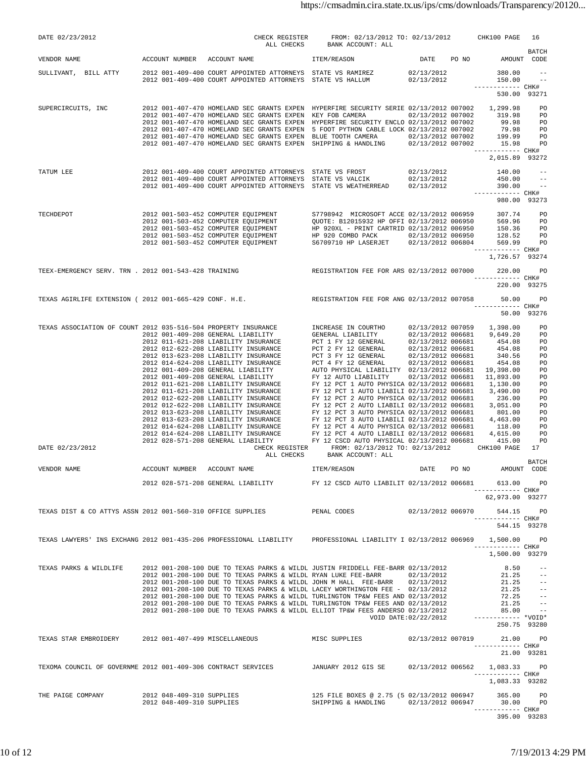| DATE 02/23/2012                                                                                                                                                                                                                           |                                                        |                                                                                                                                                                                                                                                                                                                                                                                                                                                                                                                                                                                 |                                                                                                                                                                                      |      |                                                                                                            |                                                                         |
|-------------------------------------------------------------------------------------------------------------------------------------------------------------------------------------------------------------------------------------------|--------------------------------------------------------|---------------------------------------------------------------------------------------------------------------------------------------------------------------------------------------------------------------------------------------------------------------------------------------------------------------------------------------------------------------------------------------------------------------------------------------------------------------------------------------------------------------------------------------------------------------------------------|--------------------------------------------------------------------------------------------------------------------------------------------------------------------------------------|------|------------------------------------------------------------------------------------------------------------|-------------------------------------------------------------------------|
| VENDOR NAME                                                                                                                                                                                                                               |                                                        | $\small \begin{tabular}{c} \multicolumn{2}{c}{\textbf{CHECK}}\\ \multicolumn{2}{c}{\textbf{CHECK}}\\ \multicolumn{2}{c}{\textbf{A}}\textbf{L}\textbf{L} \hspace{0.1cm}\textbf{CHECK} \hspace{0.1cm} \textbf{REGISTER} \hspace{0.1cm} \textbf{FROM:}\hspace{0.1cm} 02/13/2012 \hspace{0.1cm} \textbf{TO:}\hspace{0.1cm} 02/13/2012 \hspace{0.1cm} \textbf{CHK100 PAGE} \hspace{0.1cm} 16\\ \multicolumn{2}{c}{\$                                                                                                                                                                 |                                                                                                                                                                                      |      |                                                                                                            |                                                                         |
| SULLIVANT, BILL ATTY 2012 001-409-400 COURT APPOINTED ATTORNEYS STATE VS RAMIREZ $02/13/2012$ 380.00 --<br>2012 001-409-400 COURT APPOINTED ATTORNEYS STATE VS HALLUM $02/13/2012$ 150.00 --                                              |                                                        |                                                                                                                                                                                                                                                                                                                                                                                                                                                                                                                                                                                 |                                                                                                                                                                                      |      |                                                                                                            |                                                                         |
|                                                                                                                                                                                                                                           |                                                        |                                                                                                                                                                                                                                                                                                                                                                                                                                                                                                                                                                                 |                                                                                                                                                                                      |      | ------------ CHK#<br>530.00 93271                                                                          |                                                                         |
| SUPERCIRCUITS, INC<br>2012 001-407-470 HOMELAND SEC GRANTS EXPEN HYPERFIRE SECURITY SERIE 02/13/2012 007002 1,299.98 PO<br>2012 001-407-470 HOMELAND SEC GRANTS EXPEN KEY FOB CAMERA 02/13/2012 007002 319.98 PO<br>2012 001-407-470 H    |                                                        | 2012 001-407-470 HOMELAND SEC GRANTS EXPEN 5 FOOT PYTHON CABLE LOCK 02/13/2012 007002<br>2012 001-407-470 HOMELAND SEC GRANTS EXPEN BLUE TOOTH CAMERA 20000 02/13/2012 007002 199.99 PO<br>2012 001-407-470 HOMELAND SEC GRANTS EXPEN SHIPPING & HANDLING 02/13/2012 007002 15.98 PO                                                                                                                                                                                                                                                                                            |                                                                                                                                                                                      |      | 79.98 PO<br>------------ CHK#                                                                              |                                                                         |
|                                                                                                                                                                                                                                           |                                                        | -- 7ATUM LEE 2012 001-409-400 COURT APPOINTED ATTORNEYS STATE VS FROST 02/13/2012<br>-- 2012 001-409-400 COURT APPOINTED ATTORNEYS STATE VS VALCIK 02/13/2012<br>2012 001-409-400 COURT APPOINTED ATTORNEYS STATE VS WEATHERREAD 02/                                                                                                                                                                                                                                                                                                                                            |                                                                                                                                                                                      |      | 2,015.89 93272<br>------------ CHK#                                                                        |                                                                         |
| TECHDEPOT<br>2012 001-503-452 COMPUTER EQUIPMENT<br>2012 001-503-452 COMPUTER EQUIPMENT<br>2012 001-503-452 COMPUTER EQUIPMENT<br>2012 001-503-452 COMPUTER EQUIPMENT<br>2012 001-503-452 COMPUTER EQUIPMENT<br>2012 001-503-452 COMPUTER |                                                        |                                                                                                                                                                                                                                                                                                                                                                                                                                                                                                                                                                                 |                                                                                                                                                                                      |      | 980.00 93273<br>------------ CHK#<br>1,726.57 93274                                                        |                                                                         |
|                                                                                                                                                                                                                                           |                                                        | TEEX-EMERGENCY SERV. TRN . 2012 001-543-428 TRAINING REGISTRATION FEE FOR ARS 02/13/2012 007000 220.00                                                                                                                                                                                                                                                                                                                                                                                                                                                                          |                                                                                                                                                                                      |      | ------------ CHK#<br>220.00 93275                                                                          | PO                                                                      |
|                                                                                                                                                                                                                                           |                                                        | TEXAS AGIRLIFE EXTENSION ( 2012 001-665-429 CONF. H.E. REGISTRATION FEE FOR ANG 02/13/2012 007058 50.00 PO                                                                                                                                                                                                                                                                                                                                                                                                                                                                      |                                                                                                                                                                                      |      | ------------ CHK#<br>50.00 93276                                                                           |                                                                         |
| DATE 02/23/2012                                                                                                                                                                                                                           |                                                        |                                                                                                                                                                                                                                                                                                                                                                                                                                                                                                                                                                                 | $\textrm{CHECK REGISTER} \qquad \textrm{FROM:}\ \ 02/13/2012\ \textrm{TO:}\ \ 02/13/2012\ \textrm{CHK100 PAGE} \quad 17 \\ \textrm{ALL CHECKS} \qquad \textrm{BANK ACCOUNT: ALL} \\$ |      |                                                                                                            |                                                                         |
| VENDOR NAME                                                                                                                                                                                                                               | ACCOUNT NUMBER ACCOUNT NAME                            |                                                                                                                                                                                                                                                                                                                                                                                                                                                                                                                                                                                 | ITEM/REASON                                                                                                                                                                          | DATE | PO NO AMOUNT CODE                                                                                          | <b>BATCH</b>                                                            |
|                                                                                                                                                                                                                                           |                                                        | 2012 028-571-208 GENERAL LIABILITY FY 12 CSCD AUTO LIABILIT 02/13/2012 006681                                                                                                                                                                                                                                                                                                                                                                                                                                                                                                   |                                                                                                                                                                                      |      | 613.00 PO<br>------------ CHK#                                                                             |                                                                         |
|                                                                                                                                                                                                                                           |                                                        | TEXAS DIST & CO ATTYS ASSN 2012 001-560-310 OFFICE SUPPLIES THE PENAL CODES 02/13/2012 006970 544.15 PO                                                                                                                                                                                                                                                                                                                                                                                                                                                                         |                                                                                                                                                                                      |      | 62,973.00 93277<br>------------ CHK#<br>544.15 93278                                                       |                                                                         |
|                                                                                                                                                                                                                                           |                                                        | TEXAS LAWYERS' INS EXCHANG 2012 001-435-206 PROFESSIONAL LIABILITY PROFESSIONAL LIABILITY I 02/13/2012 006969 1,500.00 PO                                                                                                                                                                                                                                                                                                                                                                                                                                                       |                                                                                                                                                                                      |      | ------------ CHK#<br>1,500.00 93279                                                                        |                                                                         |
| TEXAS PARKS & WILDLIFE                                                                                                                                                                                                                    |                                                        | 2012 001-208-100 DUE TO TEXAS PARKS & WILDL JUSTIN FRIDDELL FEE-BARR 02/13/2012<br>2012 001-208-100 DUE TO TEXAS PARKS & WILDL RYAN LUKE FEE-BARR 02/13/2012<br>2012 001-208-100 DUE TO TEXAS PARKS & WILDL JOHN M HALL FEE-BARR 02/<br>2012 001-208-100 DUE TO TEXAS PARKS & WILDL LACEY WORTHINGTON FEE - 02/13/2012<br>2012 001-208-100 DUE TO TEXAS PARKS & WILDL TURLINGTON TP&W FEES AND 02/13/2012<br>2012 001-208-100 DUE TO TEXAS PARKS & WILDL TURLINGTON TP&W FEES AND 02/13/2012<br>2012 001-208-100 DUE TO TEXAS PARKS & WILDL ELLIOT TP&W FEES ANDERSO 02/13/2012 | VOID DATE:02/22/2012                                                                                                                                                                 |      | 8.50<br>21.25<br>21.25<br>21.25<br>21.25<br>72.25<br>21.25<br>85.00<br>------------ *VOID*<br>250.75 93280 | $ -$<br>$\sim$ $ -$<br>$\sim$ $-$<br>$- - -$<br>$- - -$<br>$\sim$ $  -$ |
|                                                                                                                                                                                                                                           |                                                        | TEXAS STAR EMBROIDERY 		 2012 001-407-499 MISCELLANEOUS 		 MISC SUPPLIES                                                                                                                                                                                                                                                                                                                                                                                                                                                                                                        |                                                                                                                                                                                      |      | 02/13/2012 007019 21.00 PO<br>------------ CHK#<br>21.00 93281                                             |                                                                         |
|                                                                                                                                                                                                                                           |                                                        | TEXOMA COUNCIL OF GOVERNME 2012 001-409-306 CONTRACT SERVICES TANUARY 2012 GIS SE 02/13/2012 006562                                                                                                                                                                                                                                                                                                                                                                                                                                                                             |                                                                                                                                                                                      |      | 1,083.33 PO<br>------------ CHK#<br>1,083.33 93282                                                         |                                                                         |
| THE PAIGE COMPANY                                                                                                                                                                                                                         | 2012 048-409-310 SUPPLIES<br>2012 048-409-310 SUPPLIES |                                                                                                                                                                                                                                                                                                                                                                                                                                                                                                                                                                                 | 125 FILE BOXES @ 2.75 (5 02/13/2012 006947                                                                                                                                           |      | ------------ CHK#<br>395.00 93283                                                                          |                                                                         |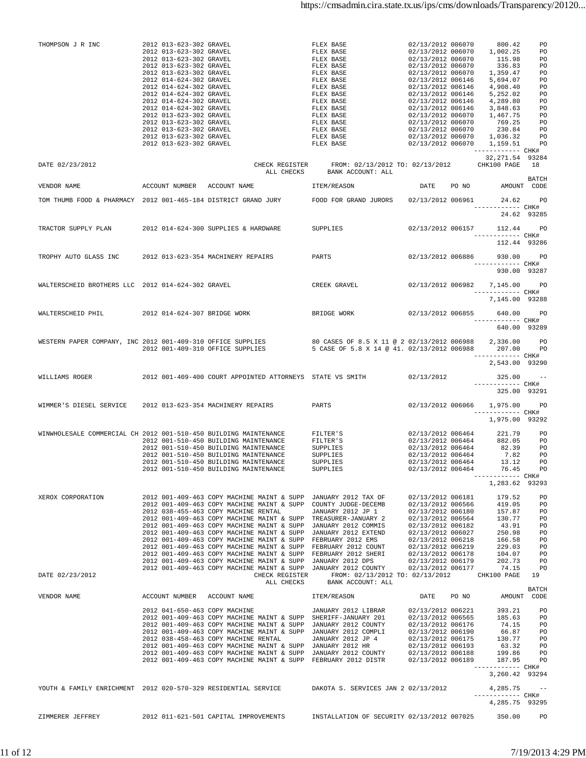| THOMPSON J R INC                                                 | 2012 013-623-302 GRAVEL<br>2012 013-623-302 GRAVEL<br>2012 013-623-302 GRAVEL<br>2012 013-623-302 GRAVEL<br>2012 013-623-302 GRAVEL<br>2012 014-624-302 GRAVEL<br>2012 014-624-302 GRAVEL<br>2012 014-624-302 GRAVEL<br>2012 014-624-302 GRAVEL<br>2012 014-624-302 GRAVEL<br>2012 013-623-302 GRAVEL<br>2012 013-623-302 GRAVEL<br>2012 013-623-302 GRAVEL<br>2012 013-623-302 GRAVEL<br>2012 013-623-302 GRAVEL |                                                                                                                                                                                                                                                                                                                                                                                                                                                                                                                                                                                                                                                                                                                                                                                    | $\begin{tabular}{l c c c c c} \texttt{FLEX BASE} & 02/13/2012\ 006070 & 800.42 & \texttt{PO} \\ \texttt{FLEX BASE} & 02/13/2012\ 006070 & 1,002.25 & \texttt{PO} \\ \texttt{FLEX BASE} & 02/13/2012\ 006070 & 115.98 & \texttt{PO} \\ \texttt{FLEX BASE} & 02/13/2012\ 006070 & 1359.47 & \texttt{PO} \\ \texttt{FLEX BASE} & 02/13/2012\ 0$                                  |                                                                                  |                                                                                      |                       |
|------------------------------------------------------------------|-------------------------------------------------------------------------------------------------------------------------------------------------------------------------------------------------------------------------------------------------------------------------------------------------------------------------------------------------------------------------------------------------------------------|------------------------------------------------------------------------------------------------------------------------------------------------------------------------------------------------------------------------------------------------------------------------------------------------------------------------------------------------------------------------------------------------------------------------------------------------------------------------------------------------------------------------------------------------------------------------------------------------------------------------------------------------------------------------------------------------------------------------------------------------------------------------------------|-------------------------------------------------------------------------------------------------------------------------------------------------------------------------------------------------------------------------------------------------------------------------------------------------------------------------------------------------------------------------------|----------------------------------------------------------------------------------|--------------------------------------------------------------------------------------|-----------------------|
| DATE 02/23/2012                                                  |                                                                                                                                                                                                                                                                                                                                                                                                                   |                                                                                                                                                                                                                                                                                                                                                                                                                                                                                                                                                                                                                                                                                                                                                                                    | CHECK REGISTER FROM: 02/13/2012 TO: 02/13/2012 CHK100 PAGE 18<br>ALL CHECKS BANK ACCOUNT: ALL                                                                                                                                                                                                                                                                                 |                                                                                  | 32,271.54 93284                                                                      |                       |
| VENDOR NAME                                                      |                                                                                                                                                                                                                                                                                                                                                                                                                   | ACCOUNT NUMBER ACCOUNT NAME TEM/REASON                                                                                                                                                                                                                                                                                                                                                                                                                                                                                                                                                                                                                                                                                                                                             | DATE PO NO AMOUNT CODE                                                                                                                                                                                                                                                                                                                                                        |                                                                                  |                                                                                      | BATCH                 |
|                                                                  |                                                                                                                                                                                                                                                                                                                                                                                                                   | TOM THUMB FOOD & PHARMACY 2012 001-465-184 DISTRICT GRAND JURY FOOD FOR GRAND JURORS 02/13/2012 006961 24.62 PO                                                                                                                                                                                                                                                                                                                                                                                                                                                                                                                                                                                                                                                                    |                                                                                                                                                                                                                                                                                                                                                                               |                                                                                  | ------------ CHK#                                                                    |                       |
|                                                                  |                                                                                                                                                                                                                                                                                                                                                                                                                   |                                                                                                                                                                                                                                                                                                                                                                                                                                                                                                                                                                                                                                                                                                                                                                                    |                                                                                                                                                                                                                                                                                                                                                                               |                                                                                  | 24.62 93285                                                                          |                       |
|                                                                  |                                                                                                                                                                                                                                                                                                                                                                                                                   | TRACTOR SUPPLY PLAN 2012 014-624-300 SUPPLIES & HARDWARE SUPPLIES                                                                                                                                                                                                                                                                                                                                                                                                                                                                                                                                                                                                                                                                                                                  |                                                                                                                                                                                                                                                                                                                                                                               |                                                                                  | 02/13/2012 006157 112.44 PO<br>------------ CHK#<br>112.44 93286                     |                       |
|                                                                  |                                                                                                                                                                                                                                                                                                                                                                                                                   | TROPHY AUTO GLASS INC 2012 013-623-354 MACHINERY REPAIRS PARTS 202/13/2012 006886 930.00 PO                                                                                                                                                                                                                                                                                                                                                                                                                                                                                                                                                                                                                                                                                        |                                                                                                                                                                                                                                                                                                                                                                               |                                                                                  |                                                                                      |                       |
|                                                                  |                                                                                                                                                                                                                                                                                                                                                                                                                   |                                                                                                                                                                                                                                                                                                                                                                                                                                                                                                                                                                                                                                                                                                                                                                                    |                                                                                                                                                                                                                                                                                                                                                                               |                                                                                  | ------------ CHK#<br>930.00 93287                                                    |                       |
| WALTERSCHEID BROTHERS LLC 2012 014-624-302 GRAVEL                |                                                                                                                                                                                                                                                                                                                                                                                                                   |                                                                                                                                                                                                                                                                                                                                                                                                                                                                                                                                                                                                                                                                                                                                                                                    | CREEK GRAVEL 02/13/2012 006982 7,145.00 PO                                                                                                                                                                                                                                                                                                                                    |                                                                                  |                                                                                      |                       |
|                                                                  |                                                                                                                                                                                                                                                                                                                                                                                                                   |                                                                                                                                                                                                                                                                                                                                                                                                                                                                                                                                                                                                                                                                                                                                                                                    |                                                                                                                                                                                                                                                                                                                                                                               |                                                                                  | ------------- CHK#<br>7,145,00 93288                                                 |                       |
|                                                                  |                                                                                                                                                                                                                                                                                                                                                                                                                   | WALTERSCHEID PHIL $2012 014-624-307$ BRIDGE WORK BRIDGE WORK $02/13/2012 006855 640.00$ PO                                                                                                                                                                                                                                                                                                                                                                                                                                                                                                                                                                                                                                                                                         |                                                                                                                                                                                                                                                                                                                                                                               |                                                                                  | ------------ CHK#                                                                    |                       |
|                                                                  |                                                                                                                                                                                                                                                                                                                                                                                                                   |                                                                                                                                                                                                                                                                                                                                                                                                                                                                                                                                                                                                                                                                                                                                                                                    |                                                                                                                                                                                                                                                                                                                                                                               |                                                                                  | 640.00 93289                                                                         |                       |
|                                                                  |                                                                                                                                                                                                                                                                                                                                                                                                                   | WESTERN PAPER COMPANY, INC 2012 001-409-310 OFFICE SUPPLIES 80 CASES OF 8.5 X 11 @ 2 02/13/2012 006988 2,336.00 PO<br>2012 001-409-310 OFFICE SUPPLIES 5 CASE OF 5.8 X 14 @ 41. 02/13/2012 006988 207.00 PO                                                                                                                                                                                                                                                                                                                                                                                                                                                                                                                                                                        |                                                                                                                                                                                                                                                                                                                                                                               |                                                                                  |                                                                                      |                       |
|                                                                  |                                                                                                                                                                                                                                                                                                                                                                                                                   |                                                                                                                                                                                                                                                                                                                                                                                                                                                                                                                                                                                                                                                                                                                                                                                    |                                                                                                                                                                                                                                                                                                                                                                               |                                                                                  | ------------ CHK#<br>2,543.00 93290                                                  |                       |
|                                                                  |                                                                                                                                                                                                                                                                                                                                                                                                                   | WILLIAMS ROGER 2012 001-409-400 COURT APPOINTED ATTORNEYS STATE VS SMITH 02/13/2012 325.00 --                                                                                                                                                                                                                                                                                                                                                                                                                                                                                                                                                                                                                                                                                      |                                                                                                                                                                                                                                                                                                                                                                               |                                                                                  |                                                                                      |                       |
|                                                                  |                                                                                                                                                                                                                                                                                                                                                                                                                   |                                                                                                                                                                                                                                                                                                                                                                                                                                                                                                                                                                                                                                                                                                                                                                                    |                                                                                                                                                                                                                                                                                                                                                                               |                                                                                  | ------------ CHK#<br>325.00 93291                                                    |                       |
|                                                                  |                                                                                                                                                                                                                                                                                                                                                                                                                   | WIMMER'S DIESEL SERVICE 2012 013-623-354 MACHINERY REPAIRS PARTS (2/13/2012 006066 1,975.00 PO                                                                                                                                                                                                                                                                                                                                                                                                                                                                                                                                                                                                                                                                                     |                                                                                                                                                                                                                                                                                                                                                                               |                                                                                  | ------------ CHK#                                                                    |                       |
|                                                                  |                                                                                                                                                                                                                                                                                                                                                                                                                   |                                                                                                                                                                                                                                                                                                                                                                                                                                                                                                                                                                                                                                                                                                                                                                                    |                                                                                                                                                                                                                                                                                                                                                                               |                                                                                  | 1,975.00 93292                                                                       |                       |
| WINWHOLESALE COMMERCIAL CH 2012 001-510-450 BUILDING MAINTENANCE |                                                                                                                                                                                                                                                                                                                                                                                                                   | 2012 001-510-450 BUILDING MAINTENANCE<br>2012 001-510-450 BUILDING MAINTENANCE<br>2012 001-510-450 BUILDING MAINTENANCE<br>2012 001-510-450 BUILDING MAINTENANCE<br>2012 001-510-450 BUILDING MAINTENANCE                                                                                                                                                                                                                                                                                                                                                                                                                                                                                                                                                                          | $\begin{tabular}{lcccc} \texttt{FILTER'S} & & & & & 02/13/2012 & 006464 & & 221.79 & & \texttt{PO} \\ \texttt{FILTER'S} & & & & 02/13/2012 & 006464 & & 882.05 & & \texttt{PO} \\ \texttt{SUPPLIES} & & & & 02/13/2012 & 006464 & & 82.39 & & \texttt{PO} \\ \texttt{SUPPLIES} & & & 02/13/2012 & 006464 & & 7.82 & \texttt{PO} \\ \texttt{SUPPLIES} & & & 02/13$<br>SUPPLIES | 02/13/2012 006464                                                                | 76.45<br>------------ CHK#                                                           | PO                    |
|                                                                  |                                                                                                                                                                                                                                                                                                                                                                                                                   |                                                                                                                                                                                                                                                                                                                                                                                                                                                                                                                                                                                                                                                                                                                                                                                    |                                                                                                                                                                                                                                                                                                                                                                               |                                                                                  | 1,283.62 93293                                                                       |                       |
| XEROX CORPORATION                                                |                                                                                                                                                                                                                                                                                                                                                                                                                   | 2012 001-409-463 COPY MACHINE MAINT & SUPP JANUARY 2012 TAX OF<br>2012 001-409-463 COPY MACHINE MAINT & SUPP COUNTY JUDGE-DECEMB 02/13/2012 006566<br>2012 038-455-463 COPY MACHINE RENTAL JANUARY 2012 JP 1<br>2012 001-409-463 COPY MACHINE MAINT & SUPP TREASURER-JANUARY 2<br>2012 001-409-463 COPY MACHINE MAINT & SUPP JANUARY 2012 COMMIS<br>2012 001-409-463 COPY MACHINE MAINT & SUPP JANUARY 2012 EXTEND 02/13/2012 006027 250.98 PO<br>2012 001-409-463 COPY MACHINE MAINT & SUPP FEBRUARY 2012 EMS 02/13/2012 006218 166.58 PO<br>2012 001-409-463 COPY MACHINE MAINT & SUPP FEBRUARY 2012 COUNT 02/13/2012 006219 229.03 PO<br>2012 001-409-463 COPY MACHINE MAINT & SUPP FEBRUARY 2012 COUNT 02/13/2012 006219 229.03 PO<br>2012 001-409-463 COPY MACHINE MAINT & SU |                                                                                                                                                                                                                                                                                                                                                                               | 02/13/2012 006181<br>02/13/2012 006180<br>02/13/2012 006564<br>02/13/2012 006182 | 179.52<br>419.05<br>157.87 PO<br>130.77<br>43.91 PO                                  | PO<br><b>PO</b><br>PO |
| DATE 02/23/2012                                                  |                                                                                                                                                                                                                                                                                                                                                                                                                   |                                                                                                                                                                                                                                                                                                                                                                                                                                                                                                                                                                                                                                                                                                                                                                                    | CHECK REGISTER FROM: 02/13/2012 TO: 02/13/2012 CHK100 PAGE 19<br>ALL CHECKS BANK ACCOUNT: ALL                                                                                                                                                                                                                                                                                 |                                                                                  |                                                                                      |                       |
| VENDOR NAME                                                      |                                                                                                                                                                                                                                                                                                                                                                                                                   | ACCOUNT NUMBER ACCOUNT NAME TEM/REASON                                                                                                                                                                                                                                                                                                                                                                                                                                                                                                                                                                                                                                                                                                                                             |                                                                                                                                                                                                                                                                                                                                                                               | DATE PO NO                                                                       | AMOUNT CODE                                                                          | BATCH                 |
|                                                                  |                                                                                                                                                                                                                                                                                                                                                                                                                   | 2012 041-650-463 COPY MACHINE<br>2012 001-409-463 COPY MACHINE MAINT & SUPP SHERIFF-JANUARY 2012 02/13/2012 006565<br>2012 001-409-463 COPY MACHINE MAINT & SUPP JANUARY 2012 COUNTY 02/13/2012 006176<br>2012 001-409-463 COPY MACHINE MAINT & SUPP JANUARY 2012 COM                                                                                                                                                                                                                                                                                                                                                                                                                                                                                                              | JANUARY 2012 LIBRAR                                                                                                                                                                                                                                                                                                                                                           | 02/13/2012 006221                                                                | 393.21<br>185.63 PO<br>$74.15$ PO<br>66.87 PO<br>------------ CHK#<br>3,260.42 93294 | <b>PO</b>             |
|                                                                  |                                                                                                                                                                                                                                                                                                                                                                                                                   | YOUTH & FAMILY ENRICHMENT 2012 020-570-329 RESIDENTIAL SERVICE DAKOTA S. SERVICES JAN 2 02/13/2012                                                                                                                                                                                                                                                                                                                                                                                                                                                                                                                                                                                                                                                                                 |                                                                                                                                                                                                                                                                                                                                                                               |                                                                                  | $4,285.75$ --<br>------------ CHK#                                                   |                       |
|                                                                  |                                                                                                                                                                                                                                                                                                                                                                                                                   |                                                                                                                                                                                                                                                                                                                                                                                                                                                                                                                                                                                                                                                                                                                                                                                    |                                                                                                                                                                                                                                                                                                                                                                               |                                                                                  | 4,285.75 93295                                                                       |                       |
|                                                                  |                                                                                                                                                                                                                                                                                                                                                                                                                   | ZIMMERER JEFFREY 2012 011-621-501 CAPITAL IMPROVEMENTS                                                                                                                                                                                                                                                                                                                                                                                                                                                                                                                                                                                                                                                                                                                             | INSTALLATION OF SECURITY 02/13/2012 007025 350.00 PO                                                                                                                                                                                                                                                                                                                          |                                                                                  |                                                                                      |                       |